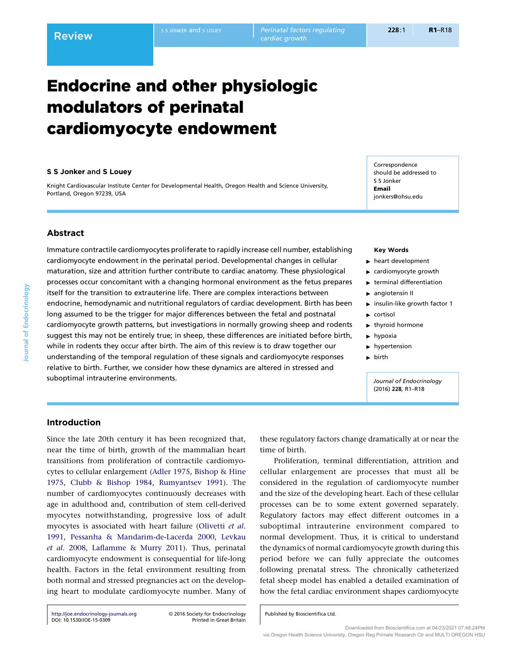# Endocrine and other physiologic modulators of perinatal cardiomyocyte endowment

## S S Jonker and S Louey

Knight Cardiovascular Institute Center for Developmental Health, Oregon Health and Science University, Portland, Oregon 97239, USA

Correspondence should be addressed to S S Jonker Email jonkers@ohsu.edu

# Abstract

Immature contractile cardiomyocytes proliferate to rapidly increase cell number, establishing cardiomyocyte endowment in the perinatal period. Developmental changes in cellular maturation, size and attrition further contribute to cardiac anatomy. These physiological processes occur concomitant with a changing hormonal environment as the fetus prepares itself for the transition to extrauterine life. There are complex interactions between endocrine, hemodynamic and nutritional regulators of cardiac development. Birth has been long assumed to be the trigger for major differences between the fetal and postnatal cardiomyocyte growth patterns, but investigations in normally growing sheep and rodents suggest this may not be entirely true; in sheep, these differences are initiated before birth, while in rodents they occur after birth. The aim of this review is to draw together our understanding of the temporal regulation of these signals and cardiomyocyte responses relative to birth. Further, we consider how these dynamics are altered in stressed and suboptimal intrauterine environments.

## Key Words

- $\blacktriangleright$  heart development
- $\blacktriangleright$  cardiomyocyte growth
- $\blacktriangleright$  terminal differentiation
- $\blacktriangleright$  angiotensin II
- $\triangleright$  insulin-like growth factor 1
- $\blacktriangleright$  cortisol
- $\blacktriangleright$  thyroid hormone
- $\blacktriangleright$  hypoxia
- $\blacktriangleright$  hypertension
- $\blacktriangleright$  birth

Journal of Endocrinology (2016) 228, R1–R18

# Introduction

Since the late 20th century it has been recognized that, near the time of birth, growth of the mammalian heart transitions from proliferation of contractile cardiomyocytes to cellular enlargement [\(Adler 1975](#page-12-0), [Bishop & Hine](#page-13-0) [1975](#page-13-0), [Clubb & Bishop 1984](#page-13-0), [Rumyantsev 1991](#page-16-0)). The number of cardiomyocytes continuously decreases with age in adulthood and, contribution of stem cell-derived myocytes notwithstanding, progressive loss of adult myocytes is associated with heart failure ([Olivetti](#page-16-0) et al. [1991](#page-16-0), [Pessanha & Mandarim-de-Lacerda 2000,](#page-16-0) [Levkau](#page-15-0) et al[. 2008,](#page-15-0) [Laflamme & Murry 2011](#page-15-0)). Thus, perinatal cardiomyocyte endowment is consequential for life-long health. Factors in the fetal environment resulting from both normal and stressed pregnancies act on the developing heart to modulate cardiomyocyte number. Many of

Proliferation, terminal differentiation, attrition and

cellular enlargement are processes that must all be considered in the regulation of cardiomyocyte number and the size of the developing heart. Each of these cellular processes can be to some extent governed separately. Regulatory factors may effect different outcomes in a suboptimal intrauterine environment compared to normal development. Thus, it is critical to understand the dynamics of normal cardiomyocyte growth during this period before we can fully appreciate the outcomes following prenatal stress. The chronically catheterized fetal sheep model has enabled a detailed examination of how the fetal cardiac environment shapes cardiomyocyte

these regulatory factors change dramatically at or near the

Published by Bioscientifica Ltd.

time of birth.

Downloaded from Bioscientifica.com at 04/23/2021 07:48:24PM via Oregon Health Science University, Oregon Reg Primate Research Ctr and MULTI OREGON HSU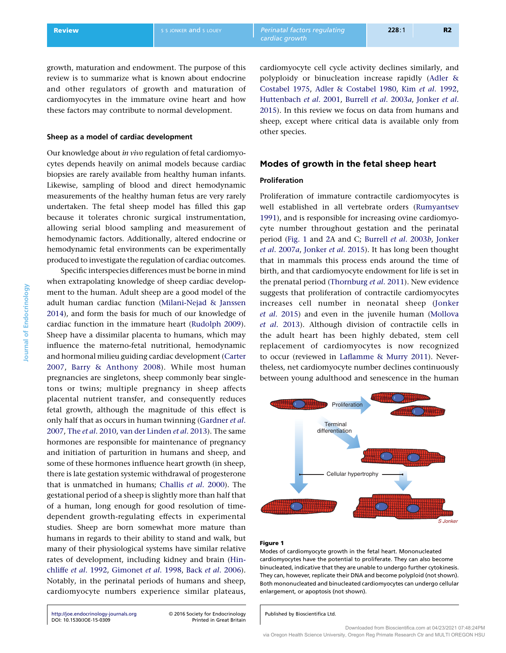<span id="page-1-0"></span>growth, maturation and endowment. The purpose of this review is to summarize what is known about endocrine and other regulators of growth and maturation of cardiomyocytes in the immature ovine heart and how these factors may contribute to normal development.

# Sheep as a model of cardiac development

Our knowledge about in vivo regulation of fetal cardiomyocytes depends heavily on animal models because cardiac biopsies are rarely available from healthy human infants. Likewise, sampling of blood and direct hemodynamic measurements of the healthy human fetus are very rarely undertaken. The fetal sheep model has filled this gap because it tolerates chronic surgical instrumentation, allowing serial blood sampling and measurement of hemodynamic factors. Additionally, altered endocrine or hemodynamic fetal environments can be experimentally produced to investigate the regulation of cardiac outcomes.

Specific interspecies differences must be borne in mind when extrapolating knowledge of sheep cardiac development to the human. Adult sheep are a good model of the adult human cardiac function [\(Milani-Nejad & Janssen](#page-16-0) [2014](#page-16-0)), and form the basis for much of our knowledge of cardiac function in the immature heart ([Rudolph 2009\)](#page-16-0). Sheep have a dissimilar placenta to humans, which may influence the materno-fetal nutritional, hemodynamic and hormonal milieu guiding cardiac development ([Carter](#page-13-0) [2007](#page-13-0), [Barry & Anthony 2008\)](#page-12-0). While most human pregnancies are singletons, sheep commonly bear singletons or twins; multiple pregnancy in sheep affects placental nutrient transfer, and consequently reduces fetal growth, although the magnitude of this effect is only half that as occurs in human twinning [\(Gardner](#page-14-0) et al. [2007](#page-14-0), The et al[. 2010,](#page-17-0) [van der Linden](#page-15-0) et al. 2013). The same hormones are responsible for maintenance of pregnancy and initiation of parturition in humans and sheep, and some of these hormones influence heart growth (in sheep, there is late gestation systemic withdrawal of progesterone that is unmatched in humans; [Challis](#page-13-0) et al. 2000). The gestational period of a sheep is slightly more than half that of a human, long enough for good resolution of timedependent growth-regulating effects in experimental studies. Sheep are born somewhat more mature than humans in regards to their ability to stand and walk, but many of their physiological systems have similar relative rates of development, including kidney and brain ([Hin](#page-14-0)chliffe et al[. 1992,](#page-14-0) [Gimonet](#page-14-0) et al. 1998, Back et al[. 2006\)](#page-12-0). Notably, in the perinatal periods of humans and sheep, cardiomyocyte numbers experience similar plateaus,

<http://joe.endocrinology-journals.org> -[DOI: 10.1530/JOE-15-0309](http://dx.doi.org/10.1530/JOE-15-0309)

2016 Society for Endocrinology

cardiomyocyte cell cycle activity declines similarly, and polyploidy or binucleation increase rapidly ([Adler &](#page-12-0) [Costabel 1975](#page-12-0), [Adler & Costabel 1980,](#page-12-0) Kim et al[. 1992,](#page-15-0) [Huttenbach](#page-14-0) et al. 2001, [Burrell](#page-13-0) et al. 2003a, [Jonker](#page-15-0) et al. [2015](#page-15-0)). In this review we focus on data from humans and sheep, except where critical data is available only from other species.

## Modes of growth in the fetal sheep heart

# Proliferation

Proliferation of immature contractile cardiomyocytes is well established in all vertebrate orders ([Rumyantsev](#page-16-0) [1991](#page-16-0)), and is responsible for increasing ovine cardiomyocyte number throughout gestation and the perinatal period (Fig. 1 and [2A](#page-2-0) and C; [Burrell](#page-13-0) et al. 2003b, [Jonker](#page-14-0) et al[. 2007](#page-14-0)a, [Jonker](#page-15-0) et al. 2015). It has long been thought that in mammals this process ends around the time of birth, and that cardiomyocyte endowment for life is set in the prenatal period [\(Thornburg](#page-17-0) et al. 2011). New evidence suggests that proliferation of contractile cardiomyocytes increases cell number in neonatal sheep ([Jonker](#page-15-0) et al[. 2015](#page-15-0)) and even in the juvenile human [\(Mollova](#page-16-0) et al[. 2013](#page-16-0)). Although division of contractile cells in the adult heart has been highly debated, stem cell replacement of cardiomyocytes is now recognized to occur (reviewed in [Laflamme & Murry 2011](#page-15-0)). Nevertheless, net cardiomyocyte number declines continuously between young adulthood and senescence in the human



#### Figure 1

Modes of cardiomyocyte growth in the fetal heart. Mononucleated cardiomyocytes have the potential to proliferate. They can also become binucleated, indicative that they are unable to undergo further cytokinesis. They can, however, replicate their DNA and become polyploid (not shown). Both mononucleated and binucleated cardiomyocytes can undergo cellular enlargement, or apoptosis (not shown).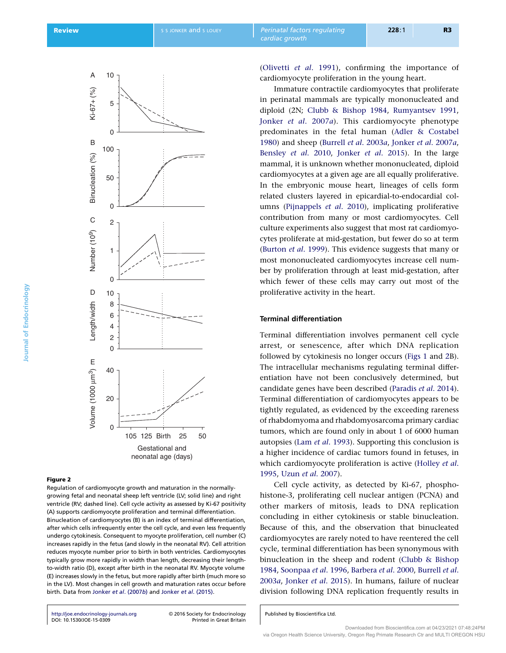<span id="page-2-0"></span>

#### Figure 2

Journal of Endocrinology

Journal of Endocrinology

Regulation of cardiomyocyte growth and maturation in the normallygrowing fetal and neonatal sheep left ventricle (LV; solid line) and right ventricle (RV; dashed line). Cell cycle activity as assessed by Ki-67 positivity (A) supports cardiomyocyte proliferation and terminal differentiation. Binucleation of cardiomyocytes (B) is an index of terminal differentiation, after which cells infrequently enter the cell cycle, and even less frequently undergo cytokinesis. Consequent to myocyte proliferation, cell number (C) increases rapidly in the fetus (and slowly in the neonatal RV). Cell attrition reduces myocyte number prior to birth in both ventricles. Cardiomyocytes typically grow more rapidly in width than length, decreasing their lengthto-width ratio (D), except after birth in the neonatal RV. Myocyte volume (E) increases slowly in the fetus, but more rapidly after birth (much more so in the LV). Most changes in cell growth and maturation rates occur before birth. Data from Jonker et al[. \(2007](#page-14-0)b) and Jonker et al[. \(2015\).](#page-15-0)

<http://joe.endocrinology-journals.org> -[DOI: 10.1530/JOE-15-0309](http://dx.doi.org/10.1530/JOE-15-0309)

2016 Society for Endocrinology

([Olivetti](#page-16-0) et al. 1991), confirming the importance of cardiomyocyte proliferation in the young heart.

Immature contractile cardiomyocytes that proliferate in perinatal mammals are typically mononucleated and diploid (2N; [Clubb & Bishop 1984,](#page-13-0) [Rumyantsev 1991,](#page-16-0) Jonker et al[. 2007](#page-14-0)a). This cardiomyocyte phenotype predominates in the fetal human [\(Adler & Costabel](#page-12-0) [1980](#page-12-0)) and sheep [\(Burrell](#page-13-0) et al. 2003a, [Jonker](#page-14-0) et al. 2007a, [Bensley](#page-12-0) et al. 2010, Jonker et al[. 2015](#page-15-0)). In the large mammal, it is unknown whether mononucleated, diploid cardiomyocytes at a given age are all equally proliferative. In the embryonic mouse heart, lineages of cells form related clusters layered in epicardial-to-endocardial columns [\(Pijnappels](#page-16-0) et al. 2010), implicating proliferative contribution from many or most cardiomyocytes. Cell culture experiments also suggest that most rat cardiomyocytes proliferate at mid-gestation, but fewer do so at term ([Burton](#page-13-0) et al. 1999). This evidence suggests that many or most mononucleated cardiomyocytes increase cell number by proliferation through at least mid-gestation, after which fewer of these cells may carry out most of the proliferative activity in the heart.

# Terminal differentiation

Terminal differentiation involves permanent cell cycle arrest, or senescence, after which DNA replication followed by cytokinesis no longer occurs [\(Figs 1](#page-1-0) and 2B). The intracellular mechanisms regulating terminal differentiation have not been conclusively determined, but candidate genes have been described ([Paradis](#page-16-0) et al. 2014). Terminal differentiation of cardiomyocytes appears to be tightly regulated, as evidenced by the exceeding rareness of rhabdomyoma and rhabdomyosarcoma primary cardiac tumors, which are found only in about 1 of 6000 human autopsies (Lam et al[. 1993\)](#page-15-0). Supporting this conclusion is a higher incidence of cardiac tumors found in fetuses, in which cardiomyocyte proliferation is active ([Holley](#page-14-0) et al. [1995](#page-14-0), Uzun et al[. 2007\)](#page-17-0).

Cell cycle activity, as detected by Ki-67, phosphohistone-3, proliferating cell nuclear antigen (PCNA) and other markers of mitosis, leads to DNA replication concluding in either cytokinesis or stable binucleation. Because of this, and the observation that binucleated cardiomyocytes are rarely noted to have reentered the cell cycle, terminal differentiation has been synonymous with binucleation in the sheep and rodent ([Clubb & Bishop](#page-13-0) [1984](#page-13-0), [Soonpaa](#page-17-0) et al. 1996, [Barbera](#page-12-0) et al. 2000, [Burrell](#page-13-0) et al. [2003](#page-13-0)a, [Jonker](#page-15-0) et al. 2015). In humans, failure of nuclear division following DNA replication frequently results in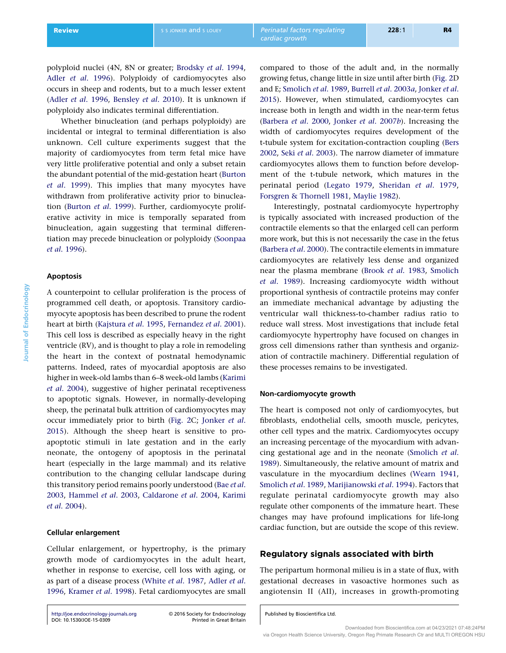polyploid nuclei (4N, 8N or greater; [Brodsky](#page-13-0) et al. 1994, Adler et al[. 1996\)](#page-12-0). Polyploidy of cardiomyocytes also occurs in sheep and rodents, but to a much lesser extent (Adler et al[. 1996,](#page-12-0) [Bensley](#page-12-0) et al. 2010). It is unknown if polyploidy also indicates terminal differentiation.

Whether binucleation (and perhaps polyploidy) are incidental or integral to terminal differentiation is also unknown. Cell culture experiments suggest that the majority of cardiomyocytes from term fetal mice have very little proliferative potential and only a subset retain the abundant potential of the mid-gestation heart ([Burton](#page-13-0) et al[. 1999](#page-13-0)). This implies that many myocytes have withdrawn from proliferative activity prior to binucleation [\(Burton](#page-13-0) et al. 1999). Further, cardiomyocyte proliferative activity in mice is temporally separated from binucleation, again suggesting that terminal differentiation may precede binucleation or polyploidy [\(Soonpaa](#page-17-0) et al[. 1996](#page-17-0)).

# Apoptosis

A counterpoint to cellular proliferation is the process of programmed cell death, or apoptosis. Transitory cardiomyocyte apoptosis has been described to prune the rodent heart at birth [\(Kajstura](#page-15-0) et al. 1995, [Fernandez](#page-14-0) et al. 2001). This cell loss is described as especially heavy in the right ventricle (RV), and is thought to play a role in remodeling the heart in the context of postnatal hemodynamic patterns. Indeed, rates of myocardial apoptosis are also higher in week-old lambs than 6–8 week-old lambs ([Karimi](#page-15-0) et al[. 2004\)](#page-15-0), suggestive of higher perinatal receptiveness to apoptotic signals. However, in normally-developing sheep, the perinatal bulk attrition of cardiomyocytes may occur immediately prior to birth ([Fig. 2](#page-2-0)C; [Jonker](#page-15-0) et al. [2015](#page-15-0)). Although the sheep heart is sensitive to proapoptotic stimuli in late gestation and in the early neonate, the ontogeny of apoptosis in the perinatal heart (especially in the large mammal) and its relative contribution to the changing cellular landscape during this transitory period remains poorly understood (Bae [et al](#page-12-0). [2003](#page-12-0), [Hammel](#page-14-0) et al. 2003, [Caldarone](#page-13-0) et al. 2004, [Karimi](#page-15-0) et al[. 2004](#page-15-0)).

# Cellular enlargement

Cellular enlargement, or hypertrophy, is the primary growth mode of cardiomyocytes in the adult heart, whether in response to exercise, cell loss with aging, or as part of a disease process (White et al[. 1987](#page-17-0), [Adler](#page-12-0) et al. [1996](#page-12-0), [Kramer](#page-15-0) et al. 1998). Fetal cardiomyocytes are small

<http://joe.endocrinology-journals.org> -[DOI: 10.1530/JOE-15-0309](http://dx.doi.org/10.1530/JOE-15-0309)

2016 Society for Endocrinology

compared to those of the adult and, in the normally growing fetus, change little in size until after birth ([Fig. 2D](#page-2-0) and E; [Smolich](#page-17-0) et al. 1989, [Burrell](#page-13-0) et al. 2003a, [Jonker](#page-15-0) et al. [2015](#page-15-0)). However, when stimulated, cardiomyocytes can increase both in length and width in the near-term fetus ([Barbera](#page-12-0) et al. 2000, [Jonker](#page-14-0) et al. 2007b). Increasing the width of cardiomyocytes requires development of the t-tubule system for excitation-contraction coupling ([Bers](#page-12-0) [2002](#page-12-0), Seki et al[. 2003](#page-17-0)). The narrow diameter of immature cardiomyocytes allows them to function before development of the t-tubule network, which matures in the perinatal period [\(Legato 1979,](#page-15-0) [Sheridan](#page-17-0) et al. 1979, [Forsgren & Thornell 1981](#page-14-0), [Maylie 1982](#page-15-0)).

Interestingly, postnatal cardiomyocyte hypertrophy is typically associated with increased production of the contractile elements so that the enlarged cell can perform more work, but this is not necessarily the case in the fetus ([Barbera](#page-12-0) et al. 2000). The contractile elements in immature cardiomyocytes are relatively less dense and organized near the plasma membrane (Brook et al[. 1983,](#page-13-0) [Smolich](#page-17-0) et al[. 1989\)](#page-17-0). Increasing cardiomyocyte width without proportional synthesis of contractile proteins may confer an immediate mechanical advantage by adjusting the ventricular wall thickness-to-chamber radius ratio to reduce wall stress. Most investigations that include fetal cardiomyocyte hypertrophy have focused on changes in gross cell dimensions rather than synthesis and organization of contractile machinery. Differential regulation of these processes remains to be investigated.

# Non-cardiomyocyte growth

The heart is composed not only of cardiomyocytes, but fibroblasts, endothelial cells, smooth muscle, pericytes, other cell types and the matrix. Cardiomyocytes occupy an increasing percentage of the myocardium with advancing gestational age and in the neonate [\(Smolich](#page-17-0) et al. [1989](#page-17-0)). Simultaneously, the relative amount of matrix and vasculature in the myocardium declines ([Wearn 1941,](#page-17-0) [Smolich](#page-17-0) et al. 1989, [Marijianowski](#page-15-0) et al. 1994). Factors that regulate perinatal cardiomyocyte growth may also regulate other components of the immature heart. These changes may have profound implications for life-long cardiac function, but are outside the scope of this review.

# Regulatory signals associated with birth

The peripartum hormonal milieu is in a state of flux, with gestational decreases in vasoactive hormones such as angiotensin II (AII), increases in growth-promoting

Published by Bioscientifica Ltd.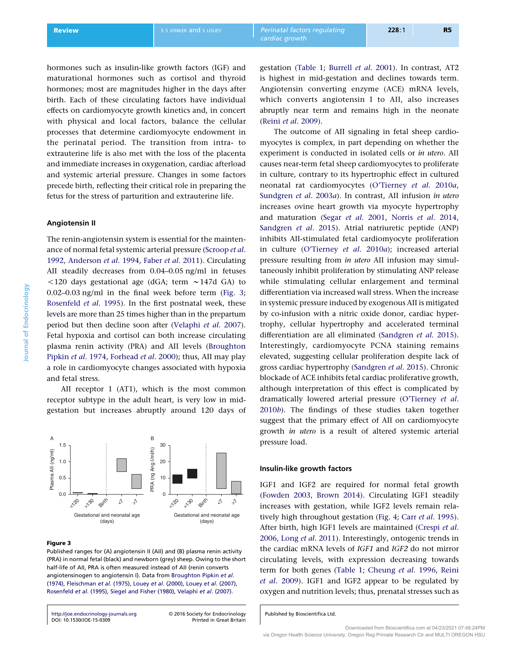hormones such as insulin-like growth factors (IGF) and maturational hormones such as cortisol and thyroid hormones; most are magnitudes higher in the days after birth. Each of these circulating factors have individual effects on cardiomyocyte growth kinetics and, in concert with physical and local factors, balance the cellular processes that determine cardiomyocyte endowment in the perinatal period. The transition from intra- to extrauterine life is also met with the loss of the placenta and immediate increases in oxygenation, cardiac afterload and systemic arterial pressure. Changes in some factors precede birth, reflecting their critical role in preparing the fetus for the stress of parturition and extrauterine life.

# Angiotensin II

The renin-angiotensin system is essential for the maintenance of normal fetal systemic arterial pressure ([Scroop](#page-16-0) et al. [1992](#page-16-0), [Anderson](#page-12-0) et al. 1994, Faber et al[. 2011](#page-14-0)). Circulating AII steadily decreases from 0.04–0.05 ng/ml in fetuses  $120$  days gestational age (dGA; term  $\sim$ 147d GA) to 0.02–0.03 ng/ml in the final week before term (Fig. 3; [Rosenfeld](#page-16-0) et al. 1995). In the first postnatal week, these levels are more than 25 times higher than in the prepartum period but then decline soon after [\(Velaphi](#page-17-0) et al. 2007). Fetal hypoxia and cortisol can both increase circulating plasma renin activity (PRA) and AII levels ([Broughton](#page-13-0) [Pipkin](#page-13-0) et al. 1974, [Forhead](#page-14-0) et al. 2000); thus, AII may play a role in cardiomyocyte changes associated with hypoxia and fetal stress.

AII receptor 1 (AT1), which is the most common receptor subtype in the adult heart, is very low in midgestation but increases abruptly around 120 days of



## Figure 3

Published ranges for (A) angiotensin II (AII) and (B) plasma renin activity (PRA) in normal fetal (black) and newborn (grey) sheep. Owing to the short half-life of AII, PRA is often measured instead of AII (renin converts angiotensinogen to angiotensin I). Data from [Broughton Pipkin](#page-13-0) et al. [\(1974\),](#page-13-0) [Fleischman](#page-14-0) et al. (1975), Louey et al[. \(2000\)](#page-15-0), Louey et al[. \(2007\),](#page-15-0) [Rosenfeld](#page-16-0) et al. (1995), [Siegel and Fisher \(1980\),](#page-17-0) [Velaphi](#page-17-0) et al. (2007).

<http://joe.endocrinology-journals.org> -[DOI: 10.1530/JOE-15-0309](http://dx.doi.org/10.1530/JOE-15-0309)

2016 Society for Endocrinology

gestation [\(Table 1;](#page-5-0) [Burrell](#page-13-0) et al. 2001). In contrast, AT2 is highest in mid-gestation and declines towards term. Angiotensin converting enzyme (ACE) mRNA levels, which converts angiotensin I to AII, also increases

abruptly near term and remains high in the neonate

(Reini et al[. 2009](#page-16-0)). The outcome of AII signaling in fetal sheep cardiomyocytes is complex, in part depending on whether the experiment is conducted in isolated cells or in utero. AII causes near-term fetal sheep cardiomyocytes to proliferate in culture, contrary to its hypertrophic effect in cultured neonatal rat cardiomyocytes ([O'Tierney](#page-16-0) et al. 2010a, [Sundgren](#page-17-0) et al. 2003a). In contrast, AII infusion in utero increases ovine heart growth via myocyte hypertrophy and maturation (Segar et al[. 2001](#page-16-0), Norris et al[. 2014,](#page-16-0) [Sandgren](#page-16-0) et al. 2015). Atrial natriuretic peptide (ANP) inhibits AII-stimulated fetal cardiomyocyte proliferation in culture ([O'Tierney](#page-16-0) et al. 2010a); increased arterial pressure resulting from in utero AII infusion may simultaneously inhibit proliferation by stimulating ANP release while stimulating cellular enlargement and terminal differentiation via increased wall stress. When the increase in systemic pressure induced by exogenous AII is mitigated by co-infusion with a nitric oxide donor, cardiac hypertrophy, cellular hypertrophy and accelerated terminal differentiation are all eliminated ([Sandgren](#page-16-0) et al. 2015). Interestingly, cardiomyocyte PCNA staining remains elevated, suggesting cellular proliferation despite lack of gross cardiac hypertrophy ([Sandgren](#page-16-0) et al. 2015). Chronic blockade of ACE inhibits fetal cardiac proliferative growth, although interpretation of this effect is complicated by dramatically lowered arterial pressure [\(O'Tierney](#page-16-0) et al. [2010](#page-16-0)b). The findings of these studies taken together suggest that the primary effect of AII on cardiomyocyte growth in utero is a result of altered systemic arterial pressure load.

# Insulin-like growth factors

IGF1 and IGF2 are required for normal fetal growth ([Fowden 2003](#page-14-0), [Brown 2014](#page-13-0)). Circulating IGF1 steadily increases with gestation, while IGF2 levels remain rela-tively high throughout gestation [\(Fig. 4;](#page-5-0) Carr et al[. 1995\)](#page-13-0). After birth, high IGF1 levels are maintained [\(Crespi](#page-13-0) et al. [2006](#page-13-0), Long et al[. 2011\)](#page-15-0). Interestingly, ontogenic trends in the cardiac mRNA levels of IGF1 and IGF2 do not mirror circulating levels, with expression decreasing towards term for both genes ([Table 1](#page-5-0); [Cheung](#page-13-0) et al. 1996, [Reini](#page-16-0) et al[. 2009](#page-16-0)). IGF1 and IGF2 appear to be regulated by oxygen and nutrition levels; thus, prenatal stresses such as

Published by Bioscientifica Ltd.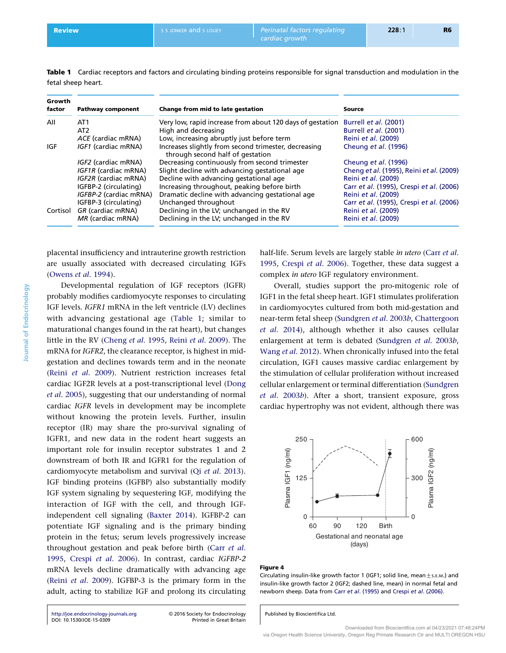<span id="page-5-0"></span>Table 1 Cardiac receptors and factors and circulating binding proteins responsible for signal transduction and modulation in the fetal sheep heart.

| Growth<br>factor | <b>Pathway component</b>          | Change from mid to late gestation                                                        | Source                                   |
|------------------|-----------------------------------|------------------------------------------------------------------------------------------|------------------------------------------|
| All              | AT <sub>1</sub>                   | Very low, rapid increase from about 120 days of gestation                                | Burrell et al. (2001)                    |
|                  | AT <sub>2</sub>                   | High and decreasing                                                                      | Burrell et al. (2001)                    |
|                  | ACE (cardiac mRNA)                | Low, increasing abruptly just before term                                                | Reini et al. (2009)                      |
| IGF              | <i><b>IGF1</b></i> (cardiac mRNA) | Increases slightly from second trimester, decreasing<br>through second half of gestation | Cheung et al. (1996)                     |
|                  | <i>IGF2</i> (cardiac mRNA)        | Decreasing continuously from second trimester                                            | Cheung et al. (1996)                     |
|                  | <b>IGF1R (cardiac mRNA)</b>       | Slight decline with advancing gestational age                                            | Cheng et al. (1995), Reini et al. (2009) |
|                  | <b>IGF2R</b> (cardiac mRNA)       | Decline with advancing gestational age                                                   | Reini et al. (2009)                      |
|                  | IGFBP-2 (circulating)             | Increasing throughout, peaking before birth                                              | Carr et al. (1995), Crespi et al. (2006) |
|                  | IGFBP-2 (cardiac mRNA)            | Dramatic decline with advancing gestational age                                          | Reini et al. (2009)                      |
|                  | IGFBP-3 (circulating)             | Unchanged throughout                                                                     | Carr et al. (1995), Crespi et al. (2006) |
| Cortisol         | GR (cardiac mRNA)                 | Declining in the LV; unchanged in the RV                                                 | Reini et al. (2009)                      |
|                  | MR (cardiac mRNA)                 | Declining in the LV; unchanged in the RV                                                 | Reini et al. (2009)                      |

placental insufficiency and intrauterine growth restriction are usually associated with decreased circulating IGFs ([Owens](#page-16-0) et al. 1994).

Developmental regulation of IGF receptors (IGFR) probably modifies cardiomyocyte responses to circulating IGF levels. IGFR1 mRNA in the left ventricle (LV) declines with advancing gestational age (Table 1; similar to maturational changes found in the rat heart), but changes little in the RV ([Cheng](#page-13-0) et al. 1995, Reini et al[. 2009](#page-16-0)). The mRNA for IGFR2, the clearance receptor, is highest in midgestation and declines towards term and in the neonate (Reini et al[. 2009](#page-16-0)). Nutrient restriction increases fetal cardiac IGF2R levels at a post-transcriptional level ([Dong](#page-13-0) et al[. 2005\)](#page-13-0), suggesting that our understanding of normal cardiac IGFR levels in development may be incomplete without knowing the protein levels. Further, insulin receptor (IR) may share the pro-survival signaling of IGFR1, and new data in the rodent heart suggests an important role for insulin receptor substrates 1 and 2 downstream of both IR and IGFR1 for the regulation of cardiomyocyte metabolism and survival (Qi et al[. 2013\)](#page-16-0). IGF binding proteins (IGFBP) also substantially modify IGF system signaling by sequestering IGF, modifying the interaction of IGF with the cell, and through IGFindependent cell signaling [\(Baxter 2014](#page-12-0)). IGFBP-2 can potentiate IGF signaling and is the primary binding protein in the fetus; serum levels progressively increase throughout gestation and peak before birth (Carr [et al](#page-13-0). [1995](#page-13-0), Crespi et al[. 2006\)](#page-13-0). In contrast, cardiac IGFBP-2 mRNA levels decline dramatically with advancing age (Reini et al[. 2009\)](#page-16-0). IGFBP-3 is the primary form in the adult, acting to stabilize IGF and prolong its circulating

half-life. Serum levels are largely stable in utero [\(Carr](#page-13-0) et al. [1995](#page-13-0), Crespi et al[. 2006\)](#page-13-0). Together, these data suggest a complex in utero IGF regulatory environment.

Overall, studies support the pro-mitogenic role of IGF1 in the fetal sheep heart. IGF1 stimulates proliferation in cardiomyocytes cultured from both mid-gestation and near-term fetal sheep [\(Sundgren](#page-17-0) et al. 2003b, [Chattergoon](#page-13-0) et al[. 2014](#page-13-0)), although whether it also causes cellular enlargement at term is debated [\(Sundgren](#page-17-0) et al. 2003b, Wang et al[. 2012](#page-17-0)). When chronically infused into the fetal circulation, IGF1 causes massive cardiac enlargement by the stimulation of cellular proliferation without increased cellular enlargement or terminal differentiation ([Sundgren](#page-17-0) et al[. 2003](#page-17-0)b). After a short, transient exposure, gross cardiac hypertrophy was not evident, although there was



#### Figure 4

Published by Bioscientifica Ltd.

Circulating insulin-like growth factor 1 (IGF1; solid line, mean $\pm$ s.E.M.) and insulin-like growth factor 2 (IGF2; dashed line, mean) in normal fetal and newborn sheep. Data from Carr et al[. \(1995\)](#page-13-0) and Crespi et al[. \(2006\)](#page-13-0).

<http://joe.endocrinology-journals.org> -[DOI: 10.1530/JOE-15-0309](http://dx.doi.org/10.1530/JOE-15-0309)

2016 Society for Endocrinology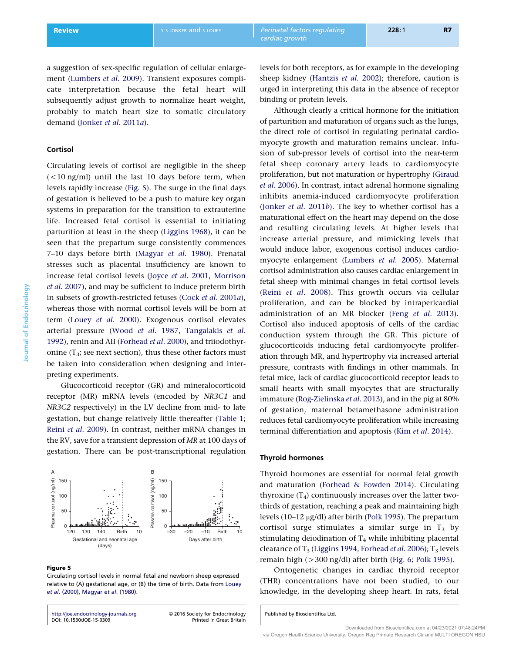<span id="page-6-0"></span>a suggestion of sex-specific regulation of cellular enlargement [\(Lumbers](#page-15-0) et al. 2009). Transient exposures complicate interpretation because the fetal heart will subsequently adjust growth to normalize heart weight, probably to match heart size to somatic circulatory demand ([Jonker](#page-15-0) et al. 2011a).

# Cortisol

Circulating levels of cortisol are negligible in the sheep  $(<$ 10 ng/ml) until the last 10 days before term, when levels rapidly increase (Fig. 5). The surge in the final days of gestation is believed to be a push to mature key organ systems in preparation for the transition to extrauterine life. Increased fetal cortisol is essential to initiating parturition at least in the sheep ([Liggins 1968\)](#page-15-0), it can be seen that the prepartum surge consistently commences 7–10 days before birth [\(Magyar](#page-15-0) et al. 1980). Prenatal stresses such as placental insufficiency are known to increase fetal cortisol levels (Joyce et al[. 2001,](#page-15-0) [Morrison](#page-16-0) et al[. 2007](#page-16-0)), and may be sufficient to induce preterm birth in subsets of growth-restricted fetuses (Cock et al[. 2001](#page-13-0)a), whereas those with normal cortisol levels will be born at term (Louey et al[. 2000](#page-15-0)). Exogenous cortisol elevates arterial pressure (Wood et al[. 1987](#page-17-0), [Tangalakis](#page-17-0) et al. [1992](#page-17-0)), renin and AII [\(Forhead](#page-14-0) et al. 2000), and triiodothyronine  $(T_3)$ ; see next section), thus these other factors must be taken into consideration when designing and interpreting experiments.

Glucocorticoid receptor (GR) and mineralocorticoid receptor (MR) mRNA levels (encoded by NR3C1 and NR3C2 respectively) in the LV decline from mid- to late gestation, but change relatively little thereafter ([Table 1](#page-5-0); Reini et al[. 2009\)](#page-16-0). In contrast, neither mRNA changes in the RV, save for a transient depression of MR at 100 days of gestation. There can be post-transcriptional regulation



#### Figure 5

Circulating cortisol levels in normal fetal and newborn sheep expressed relative to (A) gestational age, or (B) the time of birth. Data from [Louey](#page-15-0) et al[. \(2000\)](#page-15-0), [Magyar](#page-15-0) et al. (1980).

<http://joe.endocrinology-journals.org> -[DOI: 10.1530/JOE-15-0309](http://dx.doi.org/10.1530/JOE-15-0309)

2016 Society for Endocrinology

levels for both receptors, as for example in the developing sheep kidney [\(Hantzis](#page-14-0) et al. 2002); therefore, caution is

urged in interpreting this data in the absence of receptor

binding or protein levels. Although clearly a critical hormone for the initiation of parturition and maturation of organs such as the lungs, the direct role of cortisol in regulating perinatal cardiomyocyte growth and maturation remains unclear. Infusion of sub-pressor levels of cortisol into the near-term fetal sheep coronary artery leads to cardiomyocyte proliferation, but not maturation or hypertrophy ([Giraud](#page-14-0) et al[. 2006\)](#page-14-0). In contrast, intact adrenal hormone signaling inhibits anemia-induced cardiomyocyte proliferation ([Jonker](#page-15-0) et al. 2011b). The key to whether cortisol has a maturational effect on the heart may depend on the dose and resulting circulating levels. At higher levels that increase arterial pressure, and mimicking levels that would induce labor, exogenous cortisol induces cardiomyocyte enlargement [\(Lumbers](#page-15-0) et al. 2005). Maternal cortisol administration also causes cardiac enlargement in fetal sheep with minimal changes in fetal cortisol levels (Reini et al[. 2008](#page-16-0)). This growth occurs via cellular proliferation, and can be blocked by intrapericardial administration of an MR blocker (Feng et al[. 2013\)](#page-14-0). Cortisol also induced apoptosis of cells of the cardiac conduction system through the GR. This picture of glucocorticoids inducing fetal cardiomyocyte proliferation through MR, and hypertrophy via increased arterial pressure, contrasts with findings in other mammals. In fetal mice, lack of cardiac glucocorticoid receptor leads to small hearts with small myocytes that are structurally immature ([Rog-Zielinska](#page-16-0) et al. 2013), and in the pig at 80% of gestation, maternal betamethasone administration reduces fetal cardiomyocyte proliferation while increasing terminal differentiation and apoptosis (Kim et al[. 2014\)](#page-15-0).

## Thyroid hormones

Thyroid hormones are essential for normal fetal growth and maturation [\(Forhead & Fowden 2014](#page-14-0)). Circulating thyroxine  $(T_4)$  continuously increases over the latter twothirds of gestation, reaching a peak and maintaining high levels (10-12 μg/dl) after birth ([Polk 1995](#page-16-0)). The prepartum cortisol surge stimulates a similar surge in  $T_3$  by stimulating deiodination of  $T_4$  while inhibiting placental clearance of T<sub>3</sub> [\(Liggins 1994](#page-15-0), [Forhead](#page-14-0) et al. 2006); T<sub>3</sub> levels remain high  $(>300 \text{ ng/dl})$  after birth [\(Fig. 6](#page-7-0); [Polk 1995\)](#page-16-0).

Ontogenetic changes in cardiac thyroid receptor (THR) concentrations have not been studied, to our knowledge, in the developing sheep heart. In rats, fetal

Published by Bioscientifica Ltd.

Journal of Endocrinology

**Journal of Endocrinology**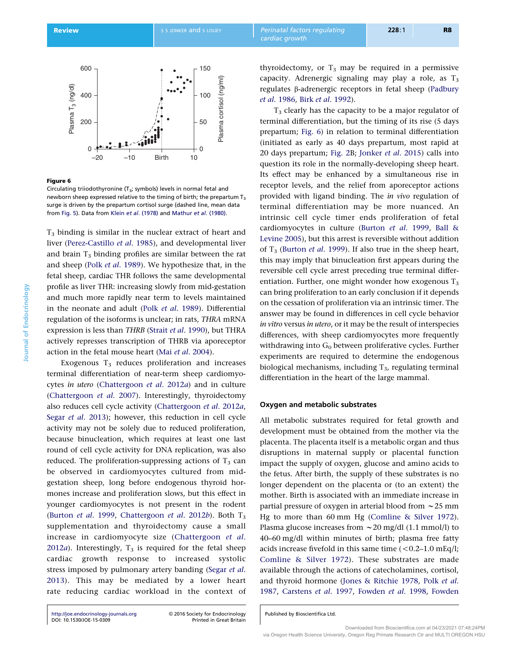<span id="page-7-0"></span>

# Figure 6

Circulating triiodothyronine  $(T_3;$  symbols) levels in normal fetal and newborn sheep expressed relative to the timing of birth; the prepartum T<sub>3</sub> surge is driven by the prepartum cortisol surge (dashed line, mean data from [Fig. 5](#page-6-0)). Data from Klein et al[. \(1978\)](#page-15-0) and [Mathur](#page-15-0) et al. (1980).

 $T<sub>3</sub>$  binding is similar in the nuclear extract of heart and liver ([Perez-Castillo](#page-16-0) et al. 1985), and developmental liver and brain  $T_3$  binding profiles are similar between the rat and sheep (Polk et al[. 1989](#page-16-0)). We hypothesize that, in the fetal sheep, cardiac THR follows the same developmental profile as liver THR: increasing slowly from mid-gestation and much more rapidly near term to levels maintained in the neonate and adult (Polk et al[. 1989\)](#page-16-0). Differential regulation of the isoforms is unclear; in rats, THRA mRNA expression is less than THRB (Strait et al[. 1990](#page-17-0)), but THRA actively represses transcription of THRB via aporeceptor action in the fetal mouse heart (Mai et al[. 2004\)](#page-15-0).

Exogenous  $T_3$  reduces proliferation and increases terminal differentiation of near-term sheep cardiomyocytes in utero [\(Chattergoon](#page-13-0) et al. 2012a) and in culture ([Chattergoon](#page-13-0) et al. 2007). Interestingly, thyroidectomy also reduces cell cycle activity [\(Chattergoon](#page-13-0) et al. 2012a, Segar et al[. 2013](#page-17-0)); however, this reduction in cell cycle activity may not be solely due to reduced proliferation, because binucleation, which requires at least one last round of cell cycle activity for DNA replication, was also reduced. The proliferation-suppressing actions of  $T_3$  can be observed in cardiomyocytes cultured from midgestation sheep, long before endogenous thyroid hormones increase and proliferation slows, but this effect in younger cardiomyocytes is not present in the rodent ([Burton](#page-13-0) et al. 1999, [Chattergoon](#page-13-0) et al. 2012b). Both  $T_3$ supplementation and thyroidectomy cause a small increase in cardiomyocyte size [\(Chattergoon](#page-13-0) et al.  $2012a$  $2012a$ ). Interestingly,  $T_3$  is required for the fetal sheep cardiac growth response to increased systolic stress imposed by pulmonary artery banding [\(Segar](#page-17-0) et al. [2013](#page-17-0)). This may be mediated by a lower heart rate reducing cardiac workload in the context of thyroidectomy, or  $T_3$  may be required in a permissive capacity. Adrenergic signaling may play a role, as  $T_3$ regulates b-adrenergic receptors in fetal sheep [\(Padbury](#page-16-0) et al[. 1986](#page-16-0), Birk et al[. 1992](#page-13-0)).

 $T<sub>3</sub>$  clearly has the capacity to be a major regulator of terminal differentiation, but the timing of its rise (5 days prepartum; Fig. 6) in relation to terminal differentiation (initiated as early as 40 days prepartum, most rapid at 20 days prepartum; [Fig. 2B](#page-2-0); [Jonker](#page-15-0) et al. 2015) calls into question its role in the normally-developing sheep heart. Its effect may be enhanced by a simultaneous rise in receptor levels, and the relief from aporeceptor actions provided with ligand binding. The in vivo regulation of terminal differentiation may be more nuanced. An intrinsic cell cycle timer ends proliferation of fetal cardiomyocytes in culture [\(Burton](#page-13-0) et al. 1999, [Ball &](#page-12-0) [Levine 2005](#page-12-0)), but this arrest is reversible without addition of  $T_3$  ([Burton](#page-13-0) *et al.* 1999). If also true in the sheep heart, this may imply that binucleation first appears during the reversible cell cycle arrest preceding true terminal differentiation. Further, one might wonder how exogenous  $T_3$ can bring proliferation to an early conclusion if it depends on the cessation of proliferation via an intrinsic timer. The answer may be found in differences in cell cycle behavior in vitro versus in utero, or it may be the result of interspecies differences, with sheep cardiomyocytes more frequently withdrawing into  $G_0$  between proliferative cycles. Further experiments are required to determine the endogenous biological mechanisms, including  $T_3$ , regulating terminal differentiation in the heart of the large mammal.

## Oxygen and metabolic substrates

All metabolic substrates required for fetal growth and development must be obtained from the mother via the placenta. The placenta itself is a metabolic organ and thus disruptions in maternal supply or placental function impact the supply of oxygen, glucose and amino acids to the fetus. After birth, the supply of these substrates is no longer dependent on the placenta or (to an extent) the mother. Birth is associated with an immediate increase in partial pressure of oxygen in arterial blood from  $\sim$  25 mm Hg to more than 60 mm Hg ([Comline & Silver 1972\)](#page-13-0). Plasma glucose increases from  $\sim$  20 mg/dl (1.1 mmol/l) to 40–60 mg/dl within minutes of birth; plasma free fatty acids increase fivefold in this same time  $(< 0.2-1.0$  mEq/l; [Comline & Silver 1972](#page-13-0)). These substrates are made available through the actions of catecholamines, cortisol, and thyroid hormone [\(Jones & Ritchie 1978](#page-14-0), Polk [et al](#page-16-0). [1987](#page-16-0), [Carstens](#page-13-0) et al. 1997, [Fowden](#page-14-0) et al. 1998, [Fowden](#page-14-0)

<http://joe.endocrinology-journals.org> -[DOI: 10.1530/JOE-15-0309](http://dx.doi.org/10.1530/JOE-15-0309)

2016 Society for Endocrinology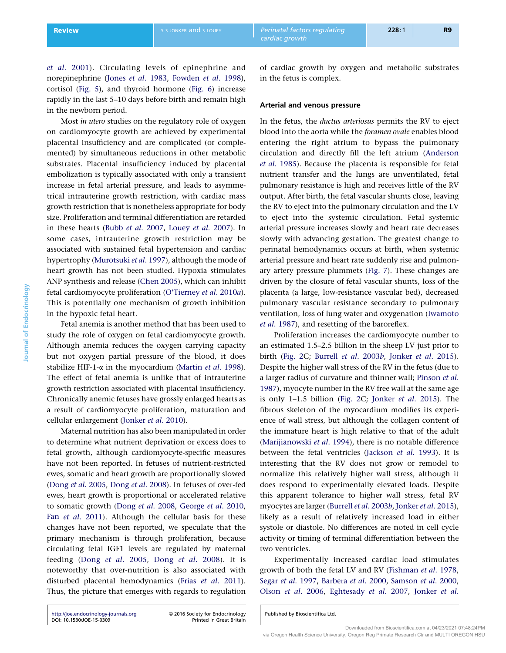et al[. 2001](#page-14-0)). Circulating levels of epinephrine and norepinephrine (Jones et al[. 1983](#page-14-0), [Fowden](#page-14-0) et al. 1998), cortisol [\(Fig. 5\)](#page-6-0), and thyroid hormone ([Fig. 6](#page-7-0)) increase rapidly in the last 5–10 days before birth and remain high in the newborn period.

Most in utero studies on the regulatory role of oxygen on cardiomyocyte growth are achieved by experimental placental insufficiency and are complicated (or complemented) by simultaneous reductions in other metabolic substrates. Placental insufficiency induced by placental embolization is typically associated with only a transient increase in fetal arterial pressure, and leads to asymmetrical intrauterine growth restriction, with cardiac mass growth restriction that is nonetheless appropriate for body size. Proliferation and terminal differentiation are retarded in these hearts (Bubb et al[. 2007,](#page-13-0) Louey et al[. 2007\)](#page-15-0). In some cases, intrauterine growth restriction may be associated with sustained fetal hypertension and cardiac hypertrophy [\(Murotsuki](#page-16-0) et al. 1997), although the mode of heart growth has not been studied. Hypoxia stimulates ANP synthesis and release ([Chen 2005](#page-13-0)), which can inhibit fetal cardiomyocyte proliferation ([O'Tierney](#page-16-0) et al. 2010a). This is potentially one mechanism of growth inhibition in the hypoxic fetal heart.

Fetal anemia is another method that has been used to study the role of oxygen on fetal cardiomyocyte growth. Although anemia reduces the oxygen carrying capacity but not oxygen partial pressure of the blood, it does stabilize HIF-1- $\alpha$  in the myocardium [\(Martin](#page-15-0) et al. 1998). The effect of fetal anemia is unlike that of intrauterine growth restriction associated with placental insufficiency. Chronically anemic fetuses have grossly enlarged hearts as a result of cardiomyocyte proliferation, maturation and cellular enlargement ([Jonker](#page-15-0) et al. 2010).

Maternal nutrition has also been manipulated in order to determine what nutrient deprivation or excess does to fetal growth, although cardiomyocyte-specific measures have not been reported. In fetuses of nutrient-restricted ewes, somatic and heart growth are proportionally slowed (Dong et al[. 2005](#page-13-0), Dong et al[. 2008\)](#page-13-0). In fetuses of over-fed ewes, heart growth is proportional or accelerated relative to somatic growth (Dong et al[. 2008,](#page-13-0) [George](#page-14-0) et al. 2010, Fan et al[. 2011](#page-14-0)). Although the cellular basis for these changes have not been reported, we speculate that the primary mechanism is through proliferation, because circulating fetal IGF1 levels are regulated by maternal feeding (Dong et al[. 2005,](#page-13-0) Dong et al[. 2008](#page-13-0)). It is noteworthy that over-nutrition is also associated with disturbed placental hemodynamics (Frias et al[. 2011\)](#page-14-0). Thus, the picture that emerges with regards to regulation

of cardiac growth by oxygen and metabolic substrates in the fetus is complex.

## Arterial and venous pressure

In the fetus, the ductus arteriosus permits the RV to eject blood into the aorta while the foramen ovale enables blood entering the right atrium to bypass the pulmonary circulation and directly fill the left atrium [\(Anderson](#page-12-0) et al[. 1985](#page-12-0)). Because the placenta is responsible for fetal nutrient transfer and the lungs are unventilated, fetal pulmonary resistance is high and receives little of the RV output. After birth, the fetal vascular shunts close, leaving the RV to eject into the pulmonary circulation and the LV to eject into the systemic circulation. Fetal systemic arterial pressure increases slowly and heart rate decreases slowly with advancing gestation. The greatest change to perinatal hemodynamics occurs at birth, when systemic arterial pressure and heart rate suddenly rise and pulmonary artery pressure plummets [\(Fig. 7](#page-9-0)). These changes are driven by the closure of fetal vascular shunts, loss of the placenta (a large, low-resistance vascular bed), decreased pulmonary vascular resistance secondary to pulmonary ventilation, loss of lung water and oxygenation [\(Iwamoto](#page-14-0) et al[. 1987](#page-14-0)), and resetting of the baroreflex.

Proliferation increases the cardiomyocyte number to an estimated 1.5–2.5 billion in the sheep LV just prior to birth ([Fig. 2](#page-2-0)C; [Burrell](#page-13-0) et al. 2003b, Jonker et al[. 2015\)](#page-15-0). Despite the higher wall stress of the RV in the fetus (due to a larger radius of curvature and thinner wall; [Pinson](#page-16-0) et al. [1987](#page-16-0)), myocyte number in the RV free wall at the same age is only 1–1.5 billion ([Fig. 2C](#page-2-0); Jonker et al[. 2015](#page-15-0)). The fibrous skeleton of the myocardium modifies its experience of wall stress, but although the collagen content of the immature heart is high relative to that of the adult ([Marijianowski](#page-15-0) et al. 1994), there is no notable difference between the fetal ventricles ([Jackson](#page-14-0) et al. 1993). It is interesting that the RV does not grow or remodel to normalize this relatively higher wall stress, although it does respond to experimentally elevated loads. Despite this apparent tolerance to higher wall stress, fetal RV myocytes are larger [\(Burrell](#page-13-0) et al. 2003b, [Jonker](#page-15-0) et al. 2015), likely as a result of relatively increased load in either systole or diastole. No differences are noted in cell cycle activity or timing of terminal differentiation between the two ventricles.

Experimentally increased cardiac load stimulates growth of both the fetal LV and RV ([Fishman](#page-14-0) et al. 1978, Segar et al[. 1997,](#page-16-0) [Barbera](#page-12-0) et al. 2000, [Samson](#page-16-0) et al. 2000, Olson et al[. 2006,](#page-16-0) [Eghtesady](#page-13-0) et al. 2007, [Jonker](#page-14-0) et al.

2016 Society for Endocrinology

<http://joe.endocrinology-journals.org> -[DOI: 10.1530/JOE-15-0309](http://dx.doi.org/10.1530/JOE-15-0309)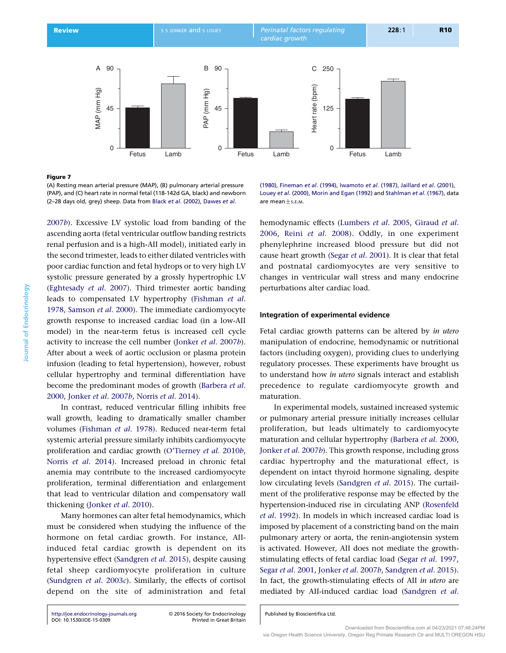<span id="page-9-0"></span>Review S S JONKER and S LOUEY Perinatal factors regulating cardiac growth



## Figure 7

(A) Resting mean arterial pressure (MAP), (B) pulmonary arterial pressure (PAP), and (C) heart rate in normal fetal (118-142d GA, black) and newborn (2–28 days old, grey) sheep. Data from Black et al[. \(2002\)](#page-13-0), [Dawes](#page-13-0) et al.

[2007](#page-14-0)b). Excessive LV systolic load from banding of the ascending aorta (fetal ventricular outflow banding restricts renal perfusion and is a high-AII model), initiated early in the second trimester, leads to either dilated ventricles with poor cardiac function and fetal hydrops or to very high LV systolic pressure generated by a grossly hypertrophic LV ([Eghtesady](#page-13-0) et al. 2007). Third trimester aortic banding leads to compensated LV hypertrophy ([Fishman](#page-14-0) et al. [1978](#page-14-0), [Samson](#page-16-0) et al. 2000). The immediate cardiomyocyte growth response to increased cardiac load (in a low-AII model) in the near-term fetus is increased cell cycle activity to increase the cell number [\(Jonker](#page-14-0) et al. 2007b). After about a week of aortic occlusion or plasma protein infusion (leading to fetal hypertension), however, robust cellular hypertrophy and terminal differentiation have become the predominant modes of growth ([Barbera](#page-12-0) et al. [2000](#page-12-0), [Jonker](#page-14-0) et al. 2007b, Norris et al[. 2014\)](#page-16-0).

In contrast, reduced ventricular filling inhibits free wall growth, leading to dramatically smaller chamber volumes [\(Fishman](#page-14-0) et al. 1978). Reduced near-term fetal systemic arterial pressure similarly inhibits cardiomyocyte proliferation and cardiac growth [\(O'Tierney](#page-16-0) et al. 2010b, Norris et al[. 2014\)](#page-16-0). Increased preload in chronic fetal anemia may contribute to the increased cardiomyocyte proliferation, terminal differentiation and enlargement that lead to ventricular dilation and compensatory wall thickening ([Jonker](#page-15-0) et al. 2010).

Many hormones can alter fetal hemodynamics, which must be considered when studying the influence of the hormone on fetal cardiac growth. For instance, AIIinduced fetal cardiac growth is dependent on its hypertensive effect [\(Sandgren](#page-16-0) et al. 2015), despite causing fetal sheep cardiomyocyte proliferation in culture ([Sundgren](#page-17-0) et al. 2003c). Similarly, the effects of cortisol depend on the site of administration and fetal [\(1980\),](#page-13-0) [Fineman](#page-14-0) et al. (1994), [Iwamoto](#page-14-0) et al. (1987), Jaillard et al[. \(2001\)](#page-14-0), Louey et al[. \(2000\),](#page-15-0) [Morin and Egan \(1992\)](#page-16-0) and [Stahlman](#page-17-0) et al. (1967), data are mean  $+s$ .E.M.

hemodynamic effects ([Lumbers](#page-15-0) et al. 2005, [Giraud](#page-14-0) et al. [2006,](#page-14-0) Reini et al[. 2008\)](#page-16-0). Oddly, in one experiment phenylephrine increased blood pressure but did not cause heart growth (Segar et al[. 2001\)](#page-16-0). It is clear that fetal and postnatal cardiomyocytes are very sensitive to changes in ventricular wall stress and many endocrine perturbations alter cardiac load.

## Integration of experimental evidence

Fetal cardiac growth patterns can be altered by in utero manipulation of endocrine, hemodynamic or nutritional factors (including oxygen), providing clues to underlying regulatory processes. These experiments have brought us to understand how in utero signals interact and establish precedence to regulate cardiomyocyte growth and maturation.

In experimental models, sustained increased systemic or pulmonary arterial pressure initially increases cellular proliferation, but leads ultimately to cardiomyocyte maturation and cellular hypertrophy ([Barbera](#page-12-0) et al. 2000, [Jonker](#page-14-0) et al. 2007b). This growth response, including gross cardiac hypertrophy and the maturational effect, is dependent on intact thyroid hormone signaling, despite low circulating levels ([Sandgren](#page-16-0) et al. 2015). The curtailment of the proliferative response may be effected by the hypertension-induced rise in circulating ANP ([Rosenfeld](#page-16-0) et al[. 1992](#page-16-0)). In models in which increased cardiac load is imposed by placement of a constricting band on the main pulmonary artery or aorta, the renin-angiotensin system is activated. However, AII does not mediate the growthstimulating effects of fetal cardiac load (Segar et al[. 1997,](#page-16-0) Segar et al[. 2001,](#page-16-0) [Jonker](#page-14-0) et al. 2007b, [Sandgren](#page-16-0) et al. 2015). In fact, the growth-stimulating effects of AII in utero are mediated by AII-induced cardiac load [\(Sandgren](#page-16-0) et al.

Published by Bioscientifica Ltd.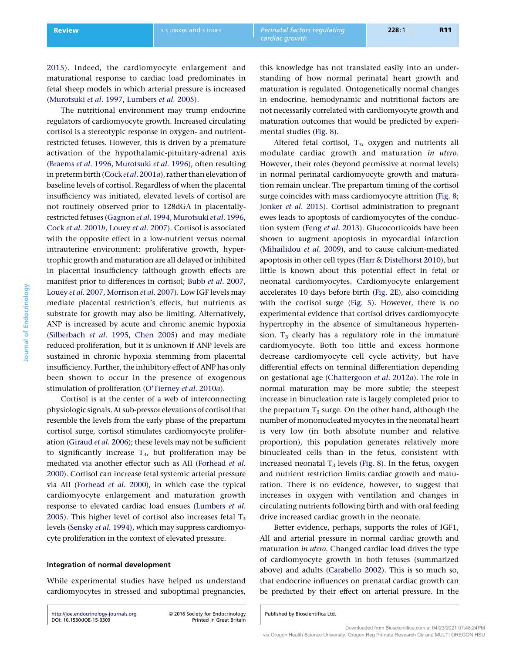mental studies ([Fig. 8](#page-11-0)).

[2015](#page-16-0)). Indeed, the cardiomyocyte enlargement and maturational response to cardiac load predominates in fetal sheep models in which arterial pressure is increased ([Murotsuki](#page-16-0) et al. 1997, [Lumbers](#page-15-0) et al. 2005).

The nutritional environment may trump endocrine regulators of cardiomyocyte growth. Increased circulating cortisol is a stereotypic response in oxygen- and nutrientrestricted fetuses. However, this is driven by a premature activation of the hypothalamic-pituitary-adrenal axis ([Braems](#page-13-0) et al. 1996, [Murotsuki](#page-16-0) et al. 1996), often resulting in preterm birth (Cock et al[. 2001](#page-13-0)a), rather than elevation of baseline levels of cortisol. Regardless of when the placental insufficiency was initiated, elevated levels of cortisol are not routinely observed prior to 128dGA in placentallyrestricted fetuses ([Gagnon](#page-14-0) et al. 1994, [Murotsuki](#page-16-0) et al. 1996, Cock et al[. 2001](#page-13-0)b, Louey et al[. 2007\)](#page-15-0). Cortisol is associated with the opposite effect in a low-nutrient versus normal intrauterine environment: proliferative growth, hypertrophic growth and maturation are all delayed or inhibited in placental insufficiency (although growth effects are manifest prior to differences in cortisol; Bubb et al[. 2007](#page-13-0), [Louey](#page-15-0) et al. 2007, [Morrison](#page-16-0) et al. 2007). Low IGF levels may mediate placental restriction's effects, but nutrients as substrate for growth may also be limiting. Alternatively, ANP is increased by acute and chronic anemic hypoxia ([Silberbach](#page-17-0) et al. 1995, [Chen 2005\)](#page-13-0) and may mediate reduced proliferation, but it is unknown if ANP levels are sustained in chronic hypoxia stemming from placental insufficiency. Further, the inhibitory effect of ANP has only been shown to occur in the presence of exogenous stimulation of proliferation [\(O'Tierney](#page-16-0) et al. 2010a).

Cortisol is at the center of a web of interconnecting physiologic signals.At sub-pressor elevations of cortisol that resemble the levels from the early phase of the prepartum cortisol surge, cortisol stimulates cardiomyocyte prolifer-ation ([Giraud](#page-14-0) et al. 2006); these levels may not be sufficient to significantly increase  $T_3$ , but proliferation may be mediated via another effector such as AII [\(Forhead](#page-14-0) et al. [2000](#page-14-0)). Cortisol can increase fetal systemic arterial pressure via AII [\(Forhead](#page-14-0) et al. 2000), in which case the typical cardiomyocyte enlargement and maturation growth response to elevated cardiac load ensues [\(Lumbers](#page-15-0) et al. [2005](#page-15-0)). This higher level of cortisol also increases fetal  $T_3$ levels [\(Sensky](#page-17-0) et al. 1994), which may suppress cardiomyocyte proliferation in the context of elevated pressure.

#### Integration of normal development

While experimental studies have helped us understand cardiomyocytes in stressed and suboptimal pregnancies,

<http://joe.endocrinology-journals.org> -[DOI: 10.1530/JOE-15-0309](http://dx.doi.org/10.1530/JOE-15-0309)

2016 Society for Endocrinology

this knowledge has not translated easily into an understanding of how normal perinatal heart growth and maturation is regulated. Ontogenetically normal changes in endocrine, hemodynamic and nutritional factors are not necessarily correlated with cardiomyocyte growth and maturation outcomes that would be predicted by experi-

Altered fetal cortisol, T3, oxygen and nutrients all modulate cardiac growth and maturation in utero. However, their roles (beyond permissive at normal levels) in normal perinatal cardiomyocyte growth and maturation remain unclear. The prepartum timing of the cortisol surge coincides with mass cardiomyocyte attrition [\(Fig. 8;](#page-11-0) [Jonker](#page-15-0) et al. 2015). Cortisol administration to pregnant ewes leads to apoptosis of cardiomyocytes of the conduc-tion system (Feng et al[. 2013](#page-14-0)). Glucocorticoids have been shown to augment apoptosis in myocardial infarction ([Mihailidou](#page-15-0) et al. 2009), and to cause calcium-mediated apoptosis in other cell types [\(Harr & Distelhorst 2010\)](#page-14-0), but little is known about this potential effect in fetal or neonatal cardiomyocytes. Cardiomyocyte enlargement accelerates 10 days before birth [\(Fig. 2](#page-2-0)E), also coinciding with the cortisol surge ([Fig. 5\)](#page-6-0). However, there is no experimental evidence that cortisol drives cardiomyocyte hypertrophy in the absence of simultaneous hypertension.  $T_3$  clearly has a regulatory role in the immature cardiomyocyte. Both too little and excess hormone decrease cardiomyocyte cell cycle activity, but have differential effects on terminal differentiation depending on gestational age ([Chattergoon](#page-13-0) et al. 2012a). The role in normal maturation may be more subtle; the steepest increase in binucleation rate is largely completed prior to the prepartum  $T_3$  surge. On the other hand, although the number of mononucleated myocytes in the neonatal heart is very low (in both absolute number and relative proportion), this population generates relatively more binucleated cells than in the fetus, consistent with increased neonatal  $T_3$  levels [\(Fig. 8\)](#page-11-0). In the fetus, oxygen and nutrient restriction limits cardiac growth and maturation. There is no evidence, however, to suggest that increases in oxygen with ventilation and changes in circulating nutrients following birth and with oral feeding drive increased cardiac growth in the neonate.

Better evidence, perhaps, supports the roles of IGF1, AII and arterial pressure in normal cardiac growth and maturation in utero. Changed cardiac load drives the type of cardiomyocyte growth in both fetuses (summarized above) and adults ([Carabello 2002](#page-13-0)). This is so much so, that endocrine influences on prenatal cardiac growth can be predicted by their effect on arterial pressure. In the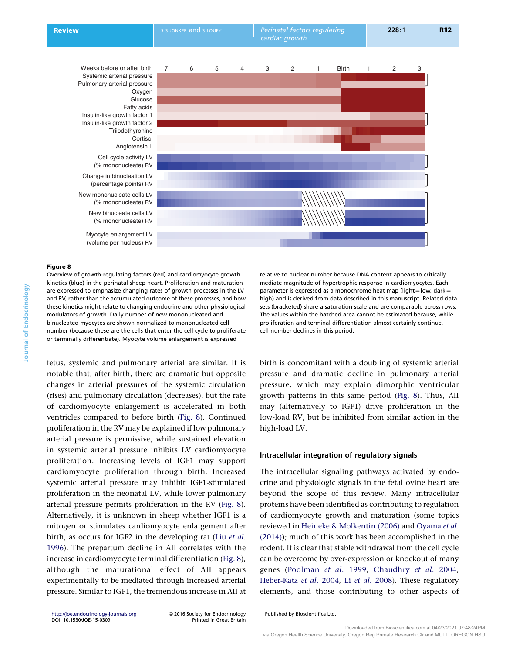Systemic arterial pressure Pulmonary arterial pressure Oxygen Glucose Fatty acids Insulin-like growth factor 1 Insulin-like growth factor 2 **Triiodothvronine Cortisol** Angiotensin II

Cell cycle activity LV (% mononucleate) RV Change in binucleation LV (percentage points) RV New mononucleate cells LV (% mononucleate) RV New binucleate cells LV (% mononucleate) RV

> Myocyte enlargement LV (volume per nucleus) RV

<span id="page-11-0"></span>

#### Figure 8

Journal of Endocrinology

**Journal of Endocrinology** 

Overview of growth-regulating factors (red) and cardiomyocyte growth kinetics (blue) in the perinatal sheep heart. Proliferation and maturation are expressed to emphasize changing rates of growth processes in the LV and RV, rather than the accumulated outcome of these processes, and how these kinetics might relate to changing endocrine and other physiological modulators of growth. Daily number of new mononucleated and binucleated myocytes are shown normalized to mononucleated cell number (because these are the cells that enter the cell cycle to proliferate or terminally differentiate). Myocyte volume enlargement is expressed

fetus, systemic and pulmonary arterial are similar. It is notable that, after birth, there are dramatic but opposite changes in arterial pressures of the systemic circulation (rises) and pulmonary circulation (decreases), but the rate of cardiomyocyte enlargement is accelerated in both ventricles compared to before birth (Fig. 8). Continued proliferation in the RV may be explained if low pulmonary arterial pressure is permissive, while sustained elevation in systemic arterial pressure inhibits LV cardiomyocyte proliferation. Increasing levels of IGF1 may support cardiomyocyte proliferation through birth. Increased systemic arterial pressure may inhibit IGF1-stimulated proliferation in the neonatal LV, while lower pulmonary arterial pressure permits proliferation in the RV (Fig. 8). Alternatively, it is unknown in sheep whether IGF1 is a mitogen or stimulates cardiomyocyte enlargement after birth, as occurs for IGF2 in the developing rat (Liu [et al](#page-15-0). [1996](#page-15-0)). The prepartum decline in AII correlates with the increase in cardiomyocyte terminal differentiation (Fig. 8), although the maturational effect of AII appears experimentally to be mediated through increased arterial pressure. Similar to IGF1, the tremendous increase in AII at

<http://joe.endocrinology-journals.org> -[DOI: 10.1530/JOE-15-0309](http://dx.doi.org/10.1530/JOE-15-0309)

2016 Society for Endocrinology

relative to nuclear number because DNA content appears to critically mediate magnitude of hypertrophic response in cardiomyocytes. Each parameter is expressed as a monochrome heat map (light=low, dark= high) and is derived from data described in this manuscript. Related data sets (bracketed) share a saturation scale and are comparable across rows. The values within the hatched area cannot be estimated because, while proliferation and terminal differentiation almost certainly continue, cell number declines in this period.

birth is concomitant with a doubling of systemic arterial pressure and dramatic decline in pulmonary arterial pressure, which may explain dimorphic ventricular growth patterns in this same period (Fig. 8). Thus, AII may (alternatively to IGF1) drive proliferation in the low-load RV, but be inhibited from similar action in the high-load LV.

# Intracellular integration of regulatory signals

The intracellular signaling pathways activated by endocrine and physiologic signals in the fetal ovine heart are beyond the scope of this review. Many intracellular proteins have been identified as contributing to regulation of cardiomyocyte growth and maturation (some topics reviewed in [Heineke & Molkentin \(2006\)](#page-14-0) and [Oyama](#page-16-0) et al. [\(2014\)\)](#page-16-0); much of this work has been accomplished in the rodent. It is clear that stable withdrawal from the cell cycle can be overcome by over-expression or knockout of many genes ([Poolman](#page-16-0) et al. 1999, [Chaudhry](#page-13-0) et al. 2004, [Heber-Katz](#page-14-0) et al. 2004, Li et al[. 2008\)](#page-15-0). These regulatory elements, and those contributing to other aspects of

Published by Bioscientifica Ltd.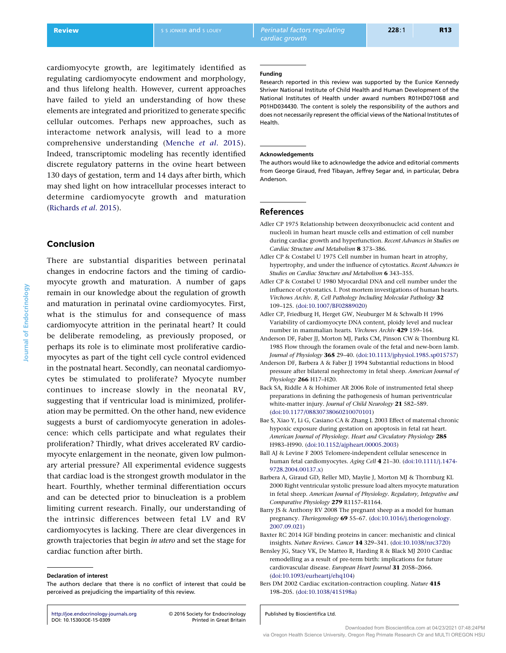<span id="page-12-0"></span>Review S S S JONKER and S LOUEY Perinatal factors regulating cardiac growth

cardiomyocyte growth, are legitimately identified as regulating cardiomyocyte endowment and morphology, and thus lifelong health. However, current approaches have failed to yield an understanding of how these elements are integrated and prioritized to generate specific cellular outcomes. Perhaps new approaches, such as interactome network analysis, will lead to a more comprehensive understanding ([Menche](#page-15-0) et al. 2015). Indeed, transcriptomic modeling has recently identified discrete regulatory patterns in the ovine heart between 130 days of gestation, term and 14 days after birth, which may shed light on how intracellular processes interact to determine cardiomyocyte growth and maturation ([Richards](#page-16-0) et al. 2015).

# Conclusion

There are substantial disparities between perinatal changes in endocrine factors and the timing of cardiomyocyte growth and maturation. A number of gaps remain in our knowledge about the regulation of growth and maturation in perinatal ovine cardiomyocytes. First, what is the stimulus for and consequence of mass cardiomyocyte attrition in the perinatal heart? It could be deliberate remodeling, as previously proposed, or perhaps its role is to eliminate most proliferative cardiomyocytes as part of the tight cell cycle control evidenced in the postnatal heart. Secondly, can neonatal cardiomyocytes be stimulated to proliferate? Myocyte number continues to increase slowly in the neonatal RV, suggesting that if ventricular load is minimized, proliferation may be permitted. On the other hand, new evidence suggests a burst of cardiomyocyte generation in adolescence: which cells participate and what regulates their proliferation? Thirdly, what drives accelerated RV cardiomyocyte enlargement in the neonate, given low pulmonary arterial pressure? All experimental evidence suggests that cardiac load is the strongest growth modulator in the heart. Fourthly, whether terminal differentiation occurs and can be detected prior to binucleation is a problem limiting current research. Finally, our understanding of the intrinsic differences between fetal LV and RV cardiomyocytes is lacking. There are clear divergences in growth trajectories that begin in utero and set the stage for cardiac function after birth.

#### Declaration of interest

<http://joe.endocrinology-journals.org> -[DOI: 10.1530/JOE-15-0309](http://dx.doi.org/10.1530/JOE-15-0309)

2016 Society for Endocrinology

#### Funding

Research reported in this review was supported by the Eunice Kennedy Shriver National Institute of Child Health and Human Development of the National Institutes of Health under award numbers R01HD071068 and P01HD034430. The content is solely the responsibility of the authors and does not necessarily represent the official views of the National Institutes of Health.

#### Acknowledgements

The authors would like to acknowledge the advice and editorial comments from George Giraud, Fred Tibayan, Jeffrey Segar and, in particular, Debra Anderson.

## References

- Adler CP 1975 Relationship between deoxyribonucleic acid content and nucleoli in human heart muscle cells and estimation of cell number during cardiac growth and hyperfunction. Recent Advances in Studies on Cardiac Structure and Metabolism 8 373–386.
- Adler CP & Costabel U 1975 Cell number in human heart in atrophy, hypertrophy, and under the influence of cytostatics. Recent Advances in Studies on Cardiac Structure and Metabolism 6 343-355.
- Adler CP & Costabel U 1980 Myocardial DNA and cell number under the influence of cytostatics. I. Post mortem investigations of human hearts. Virchows Archiv. B, Cell Pathology Including Molecular Pathology 32 109–125. ([doi:10.1007/BF02889020\)](http://dx.doi.org/10.1007/BF02889020)
- Adler CP, Friedburg H, Herget GW, Neuburger M & Schwalb H 1996 Variability of cardiomyocyte DNA content, ploidy level and nuclear number in mammalian hearts. Virchows Archiv 429 159–164.
- Anderson DF, Faber JJ, Morton MJ, Parks CM, Pinson CW & Thornburg KL 1985 Flow through the foramen ovale of the fetal and new-born lamb. Journal of Physiology 365 29–40. ([doi:10.1113/jphysiol.1985.sp015757](http://dx.doi.org/10.1113/jphysiol.1985.sp015757))
- Anderson DF, Barbera A & Faber JJ 1994 Substantial reductions in blood pressure after bilateral nephrectomy in fetal sheep. American Journal of Physiology 266 H17-H20.
- Back SA, Riddle A & Hohimer AR 2006 Role of instrumented fetal sheep preparations in defining the pathogenesis of human periventricular white-matter injury. Journal of Child Neurology 21 582-589. [\(doi:10.1177/08830738060210070101](http://dx.doi.org/10.1177/08830738060210070101))
- Bae S, Xiao Y, Li G, Casiano CA & Zhang L 2003 Effect of maternal chronic hypoxic exposure during gestation on apoptosis in fetal rat heart. American Journal of Physiology. Heart and Circulatory Physiology 285 H983–H990. ([doi:10.1152/ajpheart.00005.2003](http://dx.doi.org/10.1152/ajpheart.00005.2003))
- Ball AJ & Levine F 2005 Telomere-independent cellular senescence in human fetal cardiomyocytes. Aging Cell 4 21–30. ([doi:10.1111/j.1474-](http://dx.doi.org/10.1111/j.1474-9728.2004.00137.x) [9728.2004.00137.x\)](http://dx.doi.org/10.1111/j.1474-9728.2004.00137.x)
- Barbera A, Giraud GD, Reller MD, Maylie J, Morton MJ & Thornburg KL 2000 Right ventricular systolic pressure load alters myocyte maturation in fetal sheep. American Journal of Physiology. Regulatory, Integrative and Comparative Physiology 279 R1157–R1164.
- Barry JS & Anthony RV 2008 The pregnant sheep as a model for human pregnancy. Theriogenology 69 55–67. [\(doi:10.1016/j.theriogenology.](http://dx.doi.org/10.1016/j.theriogenology.2007.09.021) [2007.09.021\)](http://dx.doi.org/10.1016/j.theriogenology.2007.09.021)
- Baxter RC 2014 IGF binding proteins in cancer: mechanistic and clinical insights. Nature Reviews. Cancer 14 329–341. [\(doi:10.1038/nrc3720](http://dx.doi.org/10.1038/nrc3720))
- Bensley JG, Stacy VK, De Matteo R, Harding R & Black MJ 2010 Cardiac remodelling as a result of pre-term birth: implications for future cardiovascular disease. European Heart Journal 31 2058–2066. [\(doi:10.1093/eurheartj/ehq104](http://dx.doi.org/10.1093/eurheartj/ehq104))
- Bers DM 2002 Cardiac excitation-contraction coupling. Nature 415 198–205. ([doi:10.1038/415198a\)](http://dx.doi.org/10.1038/415198a)

Published by Bioscientifica Ltd.

Journal of Endocrinology

ournal of Endocrinology

The authors declare that there is no conflict of interest that could be perceived as prejudicing the impartiality of this review.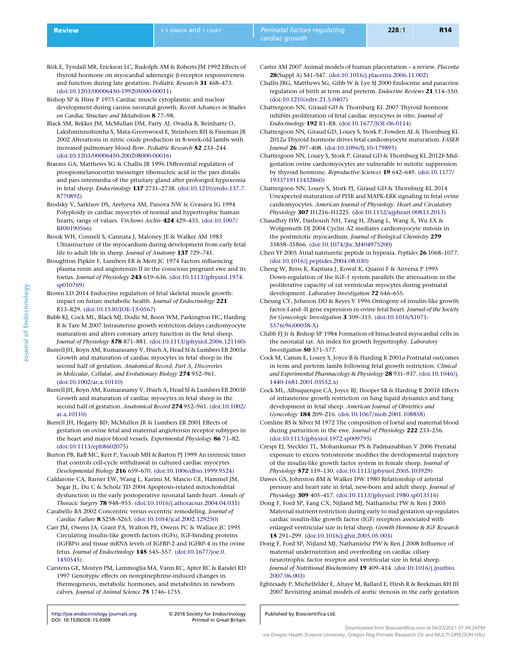- <span id="page-13-0"></span>Birk E, Tyndall MR, Erickson LC, Rudolph AM & Roberts JM 1992 Effects of thyroid hormone on myocardial adrenergic β-receptor responsiveness and function during late gestation. Pediatric Research 31 468–473. [\(doi:10.1203/00006450-199205000-00011](http://dx.doi.org/10.1203/00006450-199205000-00011))
- Bishop SP & Hine P 1975 Cardiac muscle cytoplasmic and nuclear development during canine neonatal growth. Recent Advances in Studies on Cardiac Structure and Metabolism 8 77–98.
- Black SM, Bekker JM, McMullan DM, Parry AJ, Ovadia B, Reinhartz O, Lakshminrushimha S, Mata-Greenwood E, Steinhorn RH & Fineman JR 2002 Alterations in nitric oxide production in 8-week-old lambs with increased pulmonary blood flow. Pediatric Research 52 233–244. [\(doi:10.1203/00006450-200208000-00016](http://dx.doi.org/10.1203/00006450-200208000-00016))
- Braems GA, Matthews SG & Challis JR 1996 Differential regulation of proopiomelanocortin messenger ribonucleic acid in the pars distalis and pars intermedia of the pituitary gland after prolonged hypoxemia in fetal sheep. Endocrinology 137 2731–2738. ([doi:10.1210/endo.137.7.](http://dx.doi.org/10.1210/endo.137.7.8770892) [8770892\)](http://dx.doi.org/10.1210/endo.137.7.8770892)
- Brodsky V, Sarkisov DS, Arefyeva AM, Panova NW & Gvasava IG 1994 Polyploidy in cardiac myocytes of normal and hypertrophic human hearts; range of values. Virchows Archiv 424 429–435. ([doi:10.1007/](http://dx.doi.org/10.1007/BF00190566) [BF00190566\)](http://dx.doi.org/10.1007/BF00190566)
- Brook WH, Connell S, Cannata J, Maloney JE & Walker AM 1983 Ultrastructure of the myocardium during development from early fetal life to adult life in sheep. Journal of Anatomy 137 729–741.
- Broughton Pipkin F, Lumbers ER & Mott JC 1974 Factors influencing plasma renin and angiotensin II in the conscious pregnant ewe and its foetus. Journal of Physiology 243 619–636. ([doi:10.1113/jphysiol.1974.](http://dx.doi.org/10.1113/jphysiol.1974.sp010769) [sp010769\)](http://dx.doi.org/10.1113/jphysiol.1974.sp010769)
- Brown LD 2014 Endocrine regulation of fetal skeletal muscle growth: impact on future metabolic health. Journal of Endocrinology 221 R13–R29. ([doi:10.1530/JOE-13-0567\)](http://dx.doi.org/10.1530/JOE-13-0567)
- Bubb KJ, Cock ML, Black MJ, Dodic M, Boon WM, Parkington HC, Harding R & Tare M 2007 Intrauterine growth restriction delays cardiomyocyte maturation and alters coronary artery function in the fetal sheep. Journal of Physiology 578 871–881. ([doi:10.1113/jphysiol.2006.121160](http://dx.doi.org/10.1113/jphysiol.2006.121160))
- Burrell JH, Boyn AM, Kumarasamy V, Hsieh A, Head SI & Lumbers ER 2003a Growth and maturation of cardiac myocytes in fetal sheep in the second half of gestation. Anatomical Record. Part A, Discoveries in Molecular, Cellular, and Evolutionary Biology 274 952–961. [\(doi:10.1002/ar.a.10110](http://dx.doi.org/10.1002/ar.a.10110))
- Burrell JH, Boyn AM, Kumarasamy V, Hsieh A, Head SI & Lumbers ER 2003b Growth and maturation of cardiac myocytes in fetal sheep in the second half of gestation. Anatomical Record 274 952–961. [\(doi:10.1002/](http://dx.doi.org/10.1002/ar.a.10110) [ar.a.10110\)](http://dx.doi.org/10.1002/ar.a.10110)
- Burrell JH, Hegarty BD, McMullen JR & Lumbers ER 2001 Effects of gestation on ovine fetal and maternal angiotensin receptor subtypes in the heart and major blood vessels. Experimental Physiology 86 71-82. [\(doi:10.1113/eph8602075\)](http://dx.doi.org/10.1113/eph8602075)
- Burton PB, Raff MC, Kerr P, Yacoub MH & Barton PJ 1999 An intrinsic timer that controls cell-cycle withdrawal in cultured cardiac myocytes. Developmental Biology 216 659–670. ([doi:10.1006/dbio.1999.9524](http://dx.doi.org/10.1006/dbio.1999.9524))
- Caldarone CA, Barner EW, Wang L, Karimi M, Mascio CE, Hammel JM, Segar JL, Du C & Scholz TD 2004 Apoptosis-related mitochondrial dysfunction in the early postoperative neonatal lamb heart. Annals of Thoracic Surgery 78 948–955. ([doi:10.1016/j.athoracsur.2004.04.031\)](http://dx.doi.org/10.1016/j.athoracsur.2004.04.031)
- Carabello BA 2002 Concentric versus eccentric remodeling. Journal of Cardiac Failure 8 S258–S263. [\(doi:10.1054/jcaf.2002.129250](http://dx.doi.org/10.1054/jcaf.2002.129250))
- Carr JM, Owens JA, Grant PA, Walton PE, Owens PC & Wallace JC 1995 Circulating insulin-like growth factors (IGFs), IGF-binding proteins (IGFBPs) and tissue mRNA levels of IGFBP-2 and IGFBP-4 in the ovine fetus. Journal of Endocrinology 145 545–557. [\(doi:10.1677/joe.0.](http://dx.doi.org/10.1677/joe.0.1450545) [1450545\)](http://dx.doi.org/10.1677/joe.0.1450545)
- Carstens GE, Mostyn PM, Lammoglia MA, Vann RC, Apter RC & Randel RD 1997 Genotypic effects on norepinephrine-induced changes in thermogenesis, metabolic hormones, and metabolites in newborn calves. Journal of Animal Science 75 1746–1755.

<http://joe.endocrinology-journals.org> -[DOI: 10.1530/JOE-15-0309](http://dx.doi.org/10.1530/JOE-15-0309)

2016 Society for Endocrinology

- Carter AM 2007 Animal models of human placentation a review. Placenta 28(Suppl A) S41–S47. ([doi:10.1016/j.placenta.2006.11.002](http://dx.doi.org/10.1016/j.placenta.2006.11.002))
- Challis JRG, Matthews SG, Gibb W & Lye SJ 2000 Endocrine and paracrine regulation of birth at term and preterm. Endocrine Reviews 21 514–550. [\(doi:10.1210/edrv.21.5.0407\)](http://dx.doi.org/10.1210/edrv.21.5.0407)
- Chattergoon NN, Giraud GD & Thornburg KL 2007 Thyroid hormone inhibits proliferation of fetal cardiac myocytes in vitro. Journal of Endocrinology 192 R1–R8. [\(doi:10.1677/JOE-06-0114](http://dx.doi.org/10.1677/JOE-06-0114))
- Chattergoon NN, Giraud GD, Louey S, Stork P, Fowden AL & Thornburg KL 2012a Thyroid hormone drives fetal cardiomyocyte maturation. FASEB Journal 26 397–408. ([doi:10.1096/fj.10-179895\)](http://dx.doi.org/10.1096/fj.10-179895)
- Chattergoon NN, Louey S, Stork P, Giraud GD & Thornburg KL 2012b Midgestation ovine cardiomyocytes are vulnerable to mitotic suppression by thyroid hormone. Reproductive Sciences 19 642–649. ([doi:10.1177/](http://dx.doi.org/10.1177/1933719111432860) [1933719111432860\)](http://dx.doi.org/10.1177/1933719111432860)
- Chattergoon NN, Louey S, Stork PJ, Giraud GD & Thornburg KL 2014 Unexpected maturation of PI3K and MAPK-ERK signaling in fetal ovine cardiomyocytes. American Journal of Physiology. Heart and Circulatory Physiology 307 H1216–H1225. ([doi:10.1152/ajpheart.00833.2013](http://dx.doi.org/10.1152/ajpheart.00833.2013))
- Chaudhry HW, Dashoush NH, Tang H, Zhang L, Wang X, Wu EX & Wolgemuth DJ 2004 Cyclin A2 mediates cardiomyocyte mitosis in the postmitotic myocardium. Journal of Biological Chemistry 279 35858–35866. ([doi:10.1074/jbc.M404975200](http://dx.doi.org/10.1074/jbc.M404975200))
- Chen YF 2005 Atrial natriuretic peptide in hypoxia. Peptides 26 1068–1077. [\(doi:10.1016/j.peptides.2004.08.030](http://dx.doi.org/10.1016/j.peptides.2004.08.030))

Cheng W, Reiss K, Kajstura J, Kowal K, Quaini F & Anversa P 1995 Down-regulation of the IGF-1 system parallels the attenuation in the proliferative capacity of rat ventricular myocytes during postnatal development. Laboratory Investigation 72 646-655.

- Cheung CY, Johnson DD & Reyes V 1996 Ontogeny of insulin-like growth factor-I and -II gene expression in ovine fetal heart. Journal of the Society for Gynecologic Investigation 3 309–315. [\(doi:10.1016/S1071-](http://dx.doi.org/10.1016/S1071-5576(96)00038-X) [5576\(96\)00038-X](http://dx.doi.org/10.1016/S1071-5576(96)00038-X))
- Clubb FJ Jr & Bishop SP 1984 Formation of binucleated myocardial cells in the neonatal rat. An index for growth hypertrophy. Laboratory Investigation 50 571–577.
- Cock M, Camm E, Louey S, Joyce B & Harding R 2001a Postnatal outcomes in term and preterm lambs following fetal growth restriction. Clinical and Experimental Pharmacology & Physiology 28 931–937. [\(doi:10.1046/j.](http://dx.doi.org/10.1046/j.1440-1681.2001.03552.x) [1440-1681.2001.03552.x](http://dx.doi.org/10.1046/j.1440-1681.2001.03552.x))
- Cock ML, Albuquerque CA, Joyce BJ, Hooper SB & Harding R 2001b Effects of intrauterine growth restriction on lung liquid dynamics and lung development in fetal sheep. American Journal of Obstetrics and Gynecology 184 209–216. ([doi:10.1067/mob.2001.108858](http://dx.doi.org/10.1067/mob.2001.108858))
- Comline RS & Silver M 1972 The composition of foetal and maternal blood during parturition in the ewe. Journal of Physiology 222 233-256. [\(doi:10.1113/jphysiol.1972.sp009795\)](http://dx.doi.org/10.1113/jphysiol.1972.sp009795)
- Crespi EJ, Steckler TL, Mohankumar PS & Padmanabhan V 2006 Prenatal exposure to excess testosterone modifies the developmental trajectory of the insulin-like growth factor system in female sheep. Journal of Physiology 572 119–130. ([doi:10.1113/jphysiol.2005.103929](http://dx.doi.org/10.1113/jphysiol.2005.103929))
- Dawes GS, Johnston BM & Walker DW 1980 Relationship of arterial pressure and heart rate in fetal, new-born and adult sheep. Journal of Physiology 309 405–417. ([doi:10.1113/jphysiol.1980.sp013516](http://dx.doi.org/10.1113/jphysiol.1980.sp013516))
- Dong F, Ford SP, Fang CX, Nijland MJ, Nathanielsz PW & Ren J 2005 Maternal nutrient restriction during early to mid gestation up-regulates cardiac insulin-like growth factor (IGF) receptors associated with enlarged ventricular size in fetal sheep. Growth Hormone & IGF Research 15 291–299. ([doi:10.1016/j.ghir.2005.05.003](http://dx.doi.org/10.1016/j.ghir.2005.05.003))
- Dong F, Ford SP, Nijland MJ, Nathanielsz PW & Ren J 2008 Influence of maternal undernutrition and overfeeding on cardiac ciliary neurotrophic factor receptor and ventricular size in fetal sheep. Journal of Nutritional Biochemistry 19 409–414. [\(doi:10.1016/j.jnutbio.](http://dx.doi.org/10.1016/j.jnutbio.2007.06.003) [2007.06.003\)](http://dx.doi.org/10.1016/j.jnutbio.2007.06.003)
- Eghtesady P, Michelfelder E, Altaye M, Ballard E, Hirsh R & Beekman RH III 2007 Revisiting animal models of aortic stenosis in the early gestation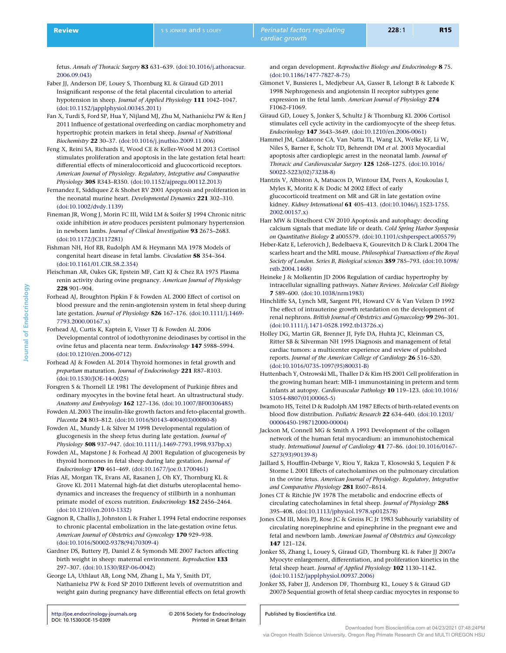<span id="page-14-0"></span>fetus. Annals of Thoracic Surgery 83 631–639. ([doi:10.1016/j.athoracsur.](http://dx.doi.org/10.1016/j.athoracsur.2006.09.043) [2006.09.043\)](http://dx.doi.org/10.1016/j.athoracsur.2006.09.043)

Faber JJ, Anderson DF, Louey S, Thornburg KL & Giraud GD 2011 Insignificant response of the fetal placental circulation to arterial hypotension in sheep. Journal of Applied Physiology 111 1042–1047. [\(doi:10.1152/japplphysiol.00345.2011\)](http://dx.doi.org/10.1152/japplphysiol.00345.2011)

Fan X, Turdi S, Ford SP, Hua Y, Nijland MJ, Zhu M, Nathanielsz PW & Ren J 2011 Influence of gestational overfeeding on cardiac morphometry and hypertrophic protein markers in fetal sheep. Journal of Nutritional Biochemistry 22 30–37. [\(doi:10.1016/j.jnutbio.2009.11.006](http://dx.doi.org/10.1016/j.jnutbio.2009.11.006))

Feng X, Reini SA, Richards E, Wood CE & Keller-Wood M 2013 Cortisol stimulates proliferation and apoptosis in the late gestation fetal heart: differential effects of mineralocorticoid and glucocorticoid receptors. American Journal of Physiology. Regulatory, Integrative and Comparative Physiology 305 R343–R350. ([doi:10.1152/ajpregu.00112.2013](http://dx.doi.org/10.1152/ajpregu.00112.2013))

Fernandez E, Siddiquee Z & Shohet RV 2001 Apoptosis and proliferation in the neonatal murine heart. Developmental Dynamics 221 302-310. [\(doi:10.1002/dvdy.1139\)](http://dx.doi.org/10.1002/dvdy.1139)

Fineman JR, Wong J, Morin FC III, Wild LM & Soifer SJ 1994 Chronic nitric oxide inhibition in utero produces persistent pulmonary hypertension in newborn lambs. Journal of Clinical Investigation 93 2675–2683. [\(doi:10.1172/JCI117281\)](http://dx.doi.org/10.1172/JCI117281)

Fishman NH, Hof RB, Rudolph AM & Heymann MA 1978 Models of congenital heart disease in fetal lambs. Circulation 58 354–364. [\(doi:10.1161/01.CIR.58.2.354\)](http://dx.doi.org/10.1161/01.CIR.58.2.354)

- Fleischman AR, Oakes GK, Epstein MF, Catt KJ & Chez RA 1975 Plasma renin activity during ovine pregnancy. American Journal of Physiology 228 901–904.
- Forhead AJ, Broughton Pipkin F & Fowden AL 2000 Effect of cortisol on blood pressure and the renin-angiotensin system in fetal sheep during late gestation. Journal of Physiology 526 167–176. ([doi:10.1111/j.1469-](http://dx.doi.org/10.1111/j.1469-7793.2000.00167.x) [7793.2000.00167.x\)](http://dx.doi.org/10.1111/j.1469-7793.2000.00167.x)
- Forhead AJ, Curtis K, Kaptein E, Visser TJ & Fowden AL 2006 Developmental control of iodothyronine deiodinases by cortisol in the ovine fetus and placenta near term. Endocrinology 147 5988–5994. [\(doi:10.1210/en.2006-0712\)](http://dx.doi.org/10.1210/en.2006-0712)
- Forhead AJ & Fowden AL 2014 Thyroid hormones in fetal growth and prepartum maturation. Journal of Endocrinology 221 R87–R103. [\(doi:10.1530/JOE-14-0025](http://dx.doi.org/10.1530/JOE-14-0025))

Forsgren S & Thornell LE 1981 The development of Purkinje fibres and ordinary myocytes in the bovine fetal heart. An ultrastructural study. Anatomy and Embryology 162 127–136. ([doi:10.1007/BF00306485\)](http://dx.doi.org/10.1007/BF00306485)

Fowden AL 2003 The insulin-like growth factors and feto-placental growth. Placenta 24 803–812. ([doi:10.1016/S0143-4004\(03\)00080-8\)](http://dx.doi.org/10.1016/S0143-4004(03)00080-8)

Fowden AL, Mundy L & Silver M 1998 Developmental regulation of glucogenesis in the sheep fetus during late gestation. Journal of Physiology 508 937–947. ([doi:10.1111/j.1469-7793.1998.937bp.x](http://dx.doi.org/10.1111/j.1469-7793.1998.937bp.x))

Fowden AL, Mapstone J & Forhead AJ 2001 Regulation of glucogenesis by thyroid hormones in fetal sheep during late gestation. Journal of Endocrinology 170 461–469. [\(doi:10.1677/joe.0.1700461\)](http://dx.doi.org/10.1677/joe.0.1700461)

Frias AE, Morgan TK, Evans AE, Rasanen J, Oh KY, Thornburg KL & Grove KL 2011 Maternal high-fat diet disturbs uteroplacental hemodynamics and increases the frequency of stillbirth in a nonhuman primate model of excess nutrition. Endocrinology 152 2456–2464. [\(doi:10.1210/en.2010-1332\)](http://dx.doi.org/10.1210/en.2010-1332)

Gagnon R, Challis J, Johnston L & Fraher L 1994 Fetal endocrine responses to chronic placental embolization in the late-gestation ovine fetus. American Journal of Obstetrics and Gynecology 170 929–938. [\(doi:10.1016/S0002-9378\(94\)70309-4\)](http://dx.doi.org/10.1016/S0002-9378(94)70309-4)

Gardner DS, Buttery PJ, Daniel Z & Symonds ME 2007 Factors affecting birth weight in sheep: maternal environment. Reproduction 133 297–307. ([doi:10.1530/REP-06-0042](http://dx.doi.org/10.1530/REP-06-0042))

George LA, Uthlaut AB, Long NM, Zhang L, Ma Y, Smith DT, Nathanielsz PW & Ford SP 2010 Different levels of overnutrition and weight gain during pregnancy have differential effects on fetal growth

<http://joe.endocrinology-journals.org> -[DOI: 10.1530/JOE-15-0309](http://dx.doi.org/10.1530/JOE-15-0309)

2016 Society for Endocrinology

and organ development. Reproductive Biology and Endocrinology 8 75. [\(doi:10.1186/1477-7827-8-75](http://dx.doi.org/10.1186/1477-7827-8-75))

- Gimonet V, Bussieres L, Medjebeur AA, Gasser B, Lelongt B & Laborde K 1998 Nephrogenesis and angiotensin II receptor subtypes gene expression in the fetal lamb. American Journal of Physiology 274 F1062–F1069.
- Giraud GD, Louey S, Jonker S, Schultz J & Thornburg KL 2006 Cortisol stimulates cell cycle activity in the cardiomyocyte of the sheep fetus. Endocrinology 147 3643–3649. [\(doi:10.1210/en.2006-0061](http://dx.doi.org/10.1210/en.2006-0061))

Hammel JM, Caldarone CA, Van Natta TL, Wang LX, Welke KF, Li W, Niles S, Barner E, Scholz TD, Behrendt DM et al. 2003 Myocardial apoptosis after cardioplegic arrest in the neonatal lamb. Journal of Thoracic and Cardiovascular Surgery 125 1268–1275. [\(doi:10.1016/](http://dx.doi.org/10.1016/S0022-5223(02)73238-8) [S0022-5223\(02\)73238-8\)](http://dx.doi.org/10.1016/S0022-5223(02)73238-8)

Hantzis V, Albiston A, Matsacos D, Wintour EM, Peers A, Koukoulas I, Myles K, Moritz K & Dodic M 2002 Effect of early glucocorticoid treatment on MR and GR in late gestation ovine kidney. Kidney International 61 405–413. [\(doi:10.1046/j.1523-1755.](http://dx.doi.org/10.1046/j.1523-1755.2002.00157.x) [2002.00157.x\)](http://dx.doi.org/10.1046/j.1523-1755.2002.00157.x)

Harr MW & Distelhorst CW 2010 Apoptosis and autophagy: decoding calcium signals that mediate life or death. Cold Spring Harbor Symposia on Quantitative Biology 2 a005579. ([doi:10.1101/cshperspect.a005579\)](http://dx.doi.org/10.1101/cshperspect.a005579)

Heber-Katz E, Leferovich J, Bedelbaeva K, Gourevitch D & Clark L 2004 The scarless heart and the MRL mouse. Philosophical Transactions of the Royal Society of London. Series B, Biological sciences 359 785–793. [\(doi:10.1098/](http://dx.doi.org/10.1098/rstb.2004.1468) [rstb.2004.1468\)](http://dx.doi.org/10.1098/rstb.2004.1468)

Heineke J & Molkentin JD 2006 Regulation of cardiac hypertrophy by intracellular signalling pathways. Nature Reviews. Molecular Cell Biology 7 589–600. [\(doi:10.1038/nrm1983](http://dx.doi.org/10.1038/nrm1983))

Hinchliffe SA, Lynch MR, Sargent PH, Howard CV & Van Velzen D 1992 The effect of intrauterine growth retardation on the development of renal nephrons. British Journal of Obstetrics and Gynaecology 99 296–301. [\(doi:10.1111/j.1471-0528.1992.tb13726.x\)](http://dx.doi.org/10.1111/j.1471-0528.1992.tb13726.x)

Holley DG, Martin GR, Brenner JI, Fyfe DA, Huhta JC, Kleinman CS, Ritter SB & Silverman NH 1995 Diagnosis and management of fetal cardiac tumors: a multicenter experience and review of published reports. Journal of the American College of Cardiology 26 516–520. [\(doi:10.1016/0735-1097\(95\)80031-B](http://dx.doi.org/10.1016/0735-1097(95)80031-B))

Huttenbach Y, Ostrowski ML, Thaller D & Kim HS 2001 Cell proliferation in the growing human heart: MIB-1 immunostaining in preterm and term infants at autopsy. Cardiovascular Pathology 10 119–123. ([doi:10.1016/](http://dx.doi.org/10.1016/S1054-8807(01)00065-5) [S1054-8807\(01\)00065-5\)](http://dx.doi.org/10.1016/S1054-8807(01)00065-5)

Iwamoto HS, Teitel D & Rudolph AM 1987 Effects of birth-related events on blood flow distribution. Pediatric Research 22 634–640. [\(doi:10.1203/](http://dx.doi.org/10.1203/00006450-198712000-00004) [00006450-198712000-00004](http://dx.doi.org/10.1203/00006450-198712000-00004))

Jackson M, Connell MG & Smith A 1993 Development of the collagen network of the human fetal myocardium: an immunohistochemical study. International Journal of Cardiology 41 77–86. ([doi:10.1016/0167-](http://dx.doi.org/10.1016/0167-5273(93)90139-8) [5273\(93\)90139-8\)](http://dx.doi.org/10.1016/0167-5273(93)90139-8)

Jaillard S, Houfflin-Debarge V, Riou Y, Rakza T, Klosowski S, Lequien P & Storme L 2001 Effects of catecholamines on the pulmonary circulation in the ovine fetus. American Journal of Physiology. Regulatory, Integrative and Comparative Physiology 281 R607-R614.

Jones CT & Ritchie JW 1978 The metabolic and endocrine effects of circulating catecholamines in fetal sheep. Journal of Physiology 285 395–408. ([doi:10.1113/jphysiol.1978.sp012578](http://dx.doi.org/10.1113/jphysiol.1978.sp012578))

Jones CM III, Meis PJ, Rose JC & Greiss FC Jr 1983 Subhourly variability of circulating norepinephrine and epinephrine in the pregnant ewe and fetal and newborn lamb. American Journal of Obstetrics and Gynecology 147 121–124.

Jonker SS, Zhang L, Louey S, Giraud GD, Thornburg KL & Faber JJ 2007a Myocyte enlargement, differentiation, and proliferation kinetics in the fetal sheep heart. Journal of Applied Physiology 102 1130–1142. [\(doi:10.1152/japplphysiol.00937.2006\)](http://dx.doi.org/10.1152/japplphysiol.00937.2006)

Jonker SS, Faber JJ, Anderson DF, Thornburg KL, Louey S & Giraud GD 2007b Sequential growth of fetal sheep cardiac myocytes in response to

Downloaded from Bioscientifica.com at 04/23/2021 07:48:24PM via Oregon Health Science University, Oregon Reg Primate Research Ctr and MULTI OREGON HSU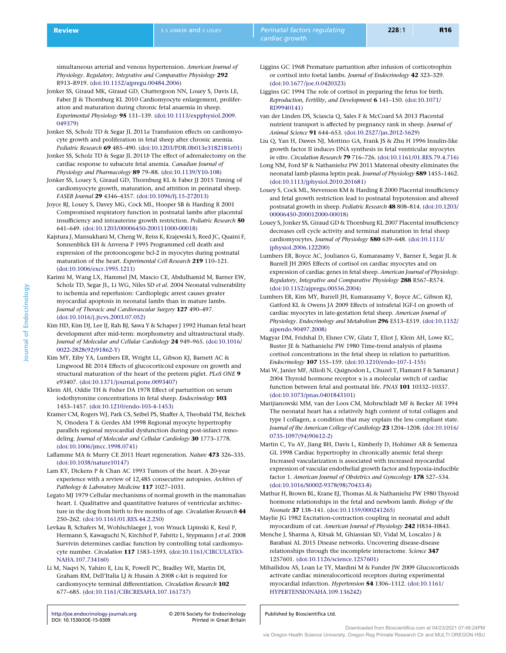<span id="page-15-0"></span>simultaneous arterial and venous hypertension. American Journal of Physiology. Regulatory, Integrative and Comparative Physiology 292 R913–R919. ([doi:10.1152/ajpregu.00484.2006](http://dx.doi.org/10.1152/ajpregu.00484.2006))

- Jonker SS, Giraud MK, Giraud GD, Chattergoon NN, Louey S, Davis LE, Faber JJ & Thornburg KL 2010 Cardiomyocyte enlargement, proliferation and maturation during chronic fetal anaemia in sheep. Experimental Physiology 95 131–139. [\(doi:10.1113/expphysiol.2009.](http://dx.doi.org/10.1113/expphysiol.2009.049379) [049379\)](http://dx.doi.org/10.1113/expphysiol.2009.049379)
- Jonker SS, Scholz TD & Segar JL 2011a Transfusion effects on cardiomyocyte growth and proliferation in fetal sheep after chronic anemia. Pediatric Research 69 485–490. [\(doi:10.1203/PDR.0b013e3182181e01\)](http://dx.doi.org/10.1203/PDR.0b013e3182181e01)
- Jonker SS, Scholz TD & Segar JL 2011b The effect of adrenalectomy on the cardiac response to subacute fetal anemia. Canadian Journal of Physiology and Pharmacology 89 79–88. ([doi:10.1139/Y10-108\)](http://dx.doi.org/10.1139/Y10-108)
- Jonker SS, Louey S, Giraud GD, Thornburg KL & Faber JJ 2015 Timing of cardiomyocyte growth, maturation, and attrition in perinatal sheep. FASEB Journal 29 4346–4357. ([doi:10.1096/fj.15-272013](http://dx.doi.org/10.1096/fj.15-272013))
- Joyce BJ, Louey S, Davey MG, Cock ML, Hooper SB & Harding R 2001 Compromised respiratory function in postnatal lambs after placental insufficiency and intrauterine growth restriction. Pediatric Research 50 641–649. ([doi:10.1203/00006450-200111000-00018\)](http://dx.doi.org/10.1203/00006450-200111000-00018)
- Kajstura J, Mansukhani M, Cheng W, Reiss K, Krajewski S, Reed JC, Quaini F, Sonnenblick EH & Anversa P 1995 Programmed cell death and expression of the protooncogene bcl-2 in myocytes during postnatal maturation of the heart. Experimental Cell Research 219 110–121. [\(doi:10.1006/excr.1995.1211](http://dx.doi.org/10.1006/excr.1995.1211))
- Karimi M, Wang LX, Hammel JM, Mascio CE, Abdulhamid M, Barner EW, Scholz TD, Segar JL, Li WG, Niles SD et al. 2004 Neonatal vulnerability to ischemia and reperfusion: Cardioplegic arrest causes greater myocardial apoptosis in neonatal lambs than in mature lambs. Journal of Thoracic and Cardiovascular Surgery 127 490–497. [\(doi:10.1016/j.jtcvs.2003.07.052\)](http://dx.doi.org/10.1016/j.jtcvs.2003.07.052)
- Kim HD, Kim DJ, Lee IJ, Rah BJ, Sawa Y & Schaper J 1992 Human fetal heart development after mid-term: morphometry and ultrastructural study. Journal of Molecular and Cellular Cardiology 24 949–965. ([doi:10.1016/](http://dx.doi.org/10.1016/0022-2828(92)91862-Y) [0022-2828\(92\)91862-Y\)](http://dx.doi.org/10.1016/0022-2828(92)91862-Y)
	- Kim MY, Eiby YA, Lumbers ER, Wright LL, Gibson KJ, Barnett AC & Lingwood BE 2014 Effects of glucocorticoid exposure on growth and structural maturation of the heart of the preterm piglet. PLoS ONE 9 e93407. ([doi:10.1371/journal.pone.0093407](http://dx.doi.org/10.1371/journal.pone.0093407))
	- Klein AH, Oddie TH & Fisher DA 1978 Effect of parturition on serum iodothyronine concentrations in fetal sheep. Endocrinology 103 1453–1457. ([doi:10.1210/endo-103-4-1453](http://dx.doi.org/10.1210/endo-103-4-1453))
	- Kramer CM, Rogers WJ, Park CS, Seibel PS, Shaffer A, Theobald TM, Reichek N, Onodera T & Gerdes AM 1998 Regional myocyte hypertrophy parallels regional myocardial dysfunction during post-infarct remodeling. Journal of Molecular and Cellular Cardiology 30 1773-1778. [\(doi:10.1006/jmcc.1998.0741](http://dx.doi.org/10.1006/jmcc.1998.0741))
	- Laflamme MA & Murry CE 2011 Heart regeneration. Nature 473 326–335. [\(doi:10.1038/nature10147\)](http://dx.doi.org/10.1038/nature10147)
	- Lam KY, Dickens P & Chan AC 1993 Tumors of the heart. A 20-year experience with a review of 12,485 consecutive autopsies. Archives of Pathology & Laboratory Medicine 117 1027-1031.
	- Legato MJ 1979 Cellular mechanisms of normal growth in the mammalian heart. I. Qualitative and quantitative features of ventricular architecture in the dog from birth to five months of age. Circulation Research 44 250–262. ([doi:10.1161/01.RES.44.2.250](http://dx.doi.org/10.1161/01.RES.44.2.250))
	- Levkau B, Schafers M, Wohlschlaeger J, von Wnuck Lipinski K, Keul P, Hermann S, Kawaguchi N, Kirchhof P, Fabritz L, Stypmann J et al. 2008 Survivin determines cardiac function by controlling total cardiomyocyte number. Circulation 117 1583–1593. [\(doi:10.1161/CIRCULATIO-](http://dx.doi.org/10.1161/CIRCULATIONAHA.107.734160)[NAHA.107.734160](http://dx.doi.org/10.1161/CIRCULATIONAHA.107.734160))
	- Li M, Naqvi N, Yahiro E, Liu K, Powell PC, Bradley WE, Martin DI, Graham RM, Dell'Italia LJ & Husain A 2008 c-kit is required for cardiomyocyte terminal differentiation. Circulation Research 102 677–685. ([doi:10.1161/CIRCRESAHA.107.161737\)](http://dx.doi.org/10.1161/CIRCRESAHA.107.161737)

<http://joe.endocrinology-journals.org> -[DOI: 10.1530/JOE-15-0309](http://dx.doi.org/10.1530/JOE-15-0309)

2016 Society for Endocrinology

- Liggins GC 1968 Premature parturition after infusion of corticotrophin or cortisol into foetal lambs. Journal of Endocrinology 42 323–329. [\(doi:10.1677/joe.0.0420323](http://dx.doi.org/10.1677/joe.0.0420323))
- Liggins GC 1994 The role of cortisol in preparing the fetus for birth. Reproduction, Fertility, and Development 6 141–150. ([doi:10.1071/](http://dx.doi.org/10.1071/RD9940141) [RD9940141\)](http://dx.doi.org/10.1071/RD9940141)
- van der Linden DS, Sciascia Q, Sales F & McCoard SA 2013 Placental nutrient transport is affected by pregnancy rank in sheep. Journal of Animal Science 91 644–653. ([doi:10.2527/jas.2012-5629\)](http://dx.doi.org/10.2527/jas.2012-5629)
- Liu Q, Yan H, Dawes NJ, Mottino GA, Frank JS & Zhu H 1996 Insulin-like growth factor II induces DNA synthesis in fetal ventricular myocytes in vitro. Circulation Research 79 716–726. ([doi:10.1161/01.RES.79.4.716](http://dx.doi.org/10.1161/01.RES.79.4.716))
- Long NM, Ford SP & Nathanielsz PW 2011 Maternal obesity eliminates the neonatal lamb plasma leptin peak. Journal of Physiology 589 1455–1462. [\(doi:10.1113/jphysiol.2010.201681\)](http://dx.doi.org/10.1113/jphysiol.2010.201681)
- Louey S, Cock ML, Stevenson KM & Harding R 2000 Placental insufficiency and fetal growth restriction lead to postnatal hypotension and altered postnatal growth in sheep. Pediatric Research 48 808–814. [\(doi:10.1203/](http://dx.doi.org/10.1203/00006450-200012000-00018) [00006450-200012000-00018](http://dx.doi.org/10.1203/00006450-200012000-00018))
- Louey S, Jonker SS, Giraud GD & Thornburg KL 2007 Placental insufficiency decreases cell cycle activity and terminal maturation in fetal sheep cardiomyocytes. Journal of Physiology 580 639–648. ([doi:10.1113/](http://dx.doi.org/10.1113/jphysiol.2006.122200) [jphysiol.2006.122200\)](http://dx.doi.org/10.1113/jphysiol.2006.122200)
- Lumbers ER, Boyce AC, Joulianos G, Kumarasamy V, Barner E, Segar JL & Burrell JH 2005 Effects of cortisol on cardiac myocytes and on expression of cardiac genes in fetal sheep. American Journal of Physiology. Regulatory, Integrative and Comparative Physiology 288 R567–R574. [\(doi:10.1152/ajpregu.00556.2004\)](http://dx.doi.org/10.1152/ajpregu.00556.2004)
- Lumbers ER, Kim MY, Burrell JH, Kumarasamy V, Boyce AC, Gibson KJ, Gatford KL & Owens JA 2009 Effects of intrafetal IGF-I on growth of cardiac myocytes in late-gestation fetal sheep. American Journal of Physiology. Endocrinology and Metabolism 296 E513-E519. [\(doi:10.1152/](http://dx.doi.org/10.1152/ajpendo.90497.2008) [ajpendo.90497.2008](http://dx.doi.org/10.1152/ajpendo.90497.2008))
- Magyar DM, Fridshal D, Elsner CW, Glatz T, Eliot J, Klein AH, Lowe KC, Buster JE & Nathanielsz PW 1980 Time-trend analysis of plasma cortisol concentrations in the fetal sheep in relation to parturition. Endocrinology 107 155–159. [\(doi:10.1210/endo-107-1-155](http://dx.doi.org/10.1210/endo-107-1-155))
- Mai W, Janier MF, Allioli N, Quignodon L, Chuzel T, Flamant F & Samarut J 2004 Thyroid hormone receptor  $\alpha$  is a molecular switch of cardiac function between fetal and postnatal life. PNAS 101 10332–10337. [\(doi:10.1073/pnas.0401843101\)](http://dx.doi.org/10.1073/pnas.0401843101)
- Marijianowski MM, van der Loos CM, Mohrschladt MF & Becker AE 1994 The neonatal heart has a relatively high content of total collagen and type I collagen, a condition that may explain the less compliant state. Journal of the American College of Cardiology 23 1204–1208. [\(doi:10.1016/](http://dx.doi.org/10.1016/0735-1097(94)90612-2) [0735-1097\(94\)90612-2](http://dx.doi.org/10.1016/0735-1097(94)90612-2))
- Martin C, Yu AY, Jiang BH, Davis L, Kimberly D, Hohimer AR & Semenza GL 1998 Cardiac hypertrophy in chronically anemic fetal sheep: Increased vascularization is associated with increased myocardial expression of vascular endothelial growth factor and hypoxia-inducible factor 1. American Journal of Obstetrics and Gynecology 178 527–534. [\(doi:10.1016/S0002-9378\(98\)70433-8\)](http://dx.doi.org/10.1016/S0002-9378(98)70433-8)
- Mathur H, Brown BL, Krane EJ, Thomas AL & Nathanielsz PW 1980 Thyroid hormone relationships in the fetal and newborn lamb. Biology of the Neonate 37 138–141. [\(doi:10.1159/000241265\)](http://dx.doi.org/10.1159/000241265)
- Maylie JG 1982 Excitation-contraction coupling in neonatal and adult myocardium of cat. American Journal of Physiology 242 H834–H843.
- Menche J, Sharma A, Kitsak M, Ghiassian SD, Vidal M, Loscalzo J & Barabasi AL 2015 Disease networks. Uncovering disease-disease relationships through the incomplete interactome. Science 347 1257601. [\(doi:10.1126/science.1257601](http://dx.doi.org/10.1126/science.1257601))
- Mihailidou AS, Loan Le TY, Mardini M & Funder JW 2009 Glucocorticoids activate cardiac mineralocorticoid receptors during experimental myocardial infarction. Hypertension 54 1306–1312. [\(doi:10.1161/](http://dx.doi.org/10.1161/HYPERTENSIONAHA.109.136242) [HYPERTENSIONAHA.109.136242](http://dx.doi.org/10.1161/HYPERTENSIONAHA.109.136242))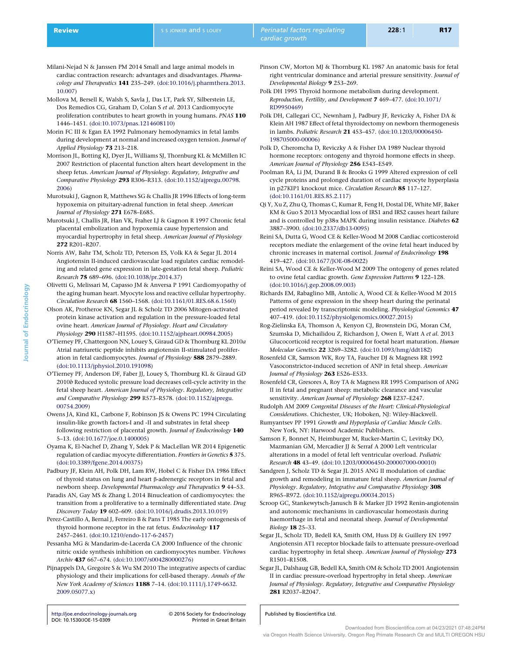- <span id="page-16-0"></span>Milani-Nejad N & Janssen PM 2014 Small and large animal models in cardiac contraction research: advantages and disadvantages. Pharmacology and Therapeutics 141 235–249. ([doi:10.1016/j.pharmthera.2013.](http://dx.doi.org/10.1016/j.pharmthera.2013.10.007) [10.007\)](http://dx.doi.org/10.1016/j.pharmthera.2013.10.007)
- Mollova M, Bersell K, Walsh S, Savla J, Das LT, Park SY, Silberstein LE, Dos Remedios CG, Graham D, Colan S et al. 2013 Cardiomyocyte proliferation contributes to heart growth in young humans. PNAS 110 1446–1451. ([doi:10.1073/pnas.1214608110](http://dx.doi.org/10.1073/pnas.1214608110))
- Morin FC III & Egan EA 1992 Pulmonary hemodynamics in fetal lambs during development at normal and increased oxygen tension. Journal of Applied Physiology 73 213–218.
- Morrison JL, Botting KJ, Dyer JL, Williams SJ, Thornburg KL & McMillen IC 2007 Restriction of placental function alters heart development in the sheep fetus. American Journal of Physiology. Regulatory, Integrative and Comparative Physiology 293 R306–R313. ([doi:10.1152/ajpregu.00798.](http://dx.doi.org/10.1152/ajpregu.00798.2006) [2006\)](http://dx.doi.org/10.1152/ajpregu.00798.2006)
- Murotsuki J, Gagnon R, Matthews SG & Challis JR 1996 Effects of long-term hypoxemia on pituitary-adrenal function in fetal sheep. American Journal of Physiology 271 E678–E685.
- Murotsuki J, Challis JR, Han VK, Fraher LJ & Gagnon R 1997 Chronic fetal placental embolization and hypoxemia cause hypertension and myocardial hypertrophy in fetal sheep. American Journal of Physiology 272 R201–R207.
- Norris AW, Bahr TM, Scholz TD, Peterson ES, Volk KA & Segar JL 2014 Angiotensin II-induced cardiovascular load regulates cardiac remodeling and related gene expression in late-gestation fetal sheep. Pediatric Research 75 689–696. ([doi:10.1038/pr.2014.37](http://dx.doi.org/10.1038/pr.2014.37))
- Olivetti G, Melissari M, Capasso JM & Anversa P 1991 Cardiomyopathy of the aging human heart. Myocyte loss and reactive cellular hypertrophy. Circulation Research 68 1560–1568. ([doi:10.1161/01.RES.68.6.1560](http://dx.doi.org/10.1161/01.RES.68.6.1560))
- Olson AK, Protheroe KN, Segar JL & Scholz TD 2006 Mitogen-activated protein kinase activation and regulation in the pressure-loaded fetal ovine heart. American Journal of Physiology. Heart and Circulatory Physiology 290 H1587–H1595. [\(doi:10.1152/ajpheart.00984.2005](http://dx.doi.org/10.1152/ajpheart.00984.2005))
- O'Tierney PF, Chattergoon NN, Louey S, Giraud GD & Thornburg KL 2010a Atrial natriuretic peptide inhibits angiotensin II-stimulated proliferation in fetal cardiomyocytes. Journal of Physiology 588 2879–2889. [\(doi:10.1113/jphysiol.2010.191098\)](http://dx.doi.org/10.1113/jphysiol.2010.191098)
- O'Tierney PF, Anderson DF, Faber JJ, Louey S, Thornburg KL & Giraud GD 2010b Reduced systolic pressure load decreases cell-cycle activity in the fetal sheep heart. American Journal of Physiology. Regulatory, Integrative and Comparative Physiology 299 R573–R578. [\(doi:10.1152/ajpregu.](http://dx.doi.org/10.1152/ajpregu.00754.2009) [00754.2009\)](http://dx.doi.org/10.1152/ajpregu.00754.2009)
- Owens JA, Kind KL, Carbone F, Robinson JS & Owens PC 1994 Circulating insulin-like growth factors-I and -II and substrates in fetal sheep following restriction of placental growth. Journal of Endocrinology 140 5–13. ([doi:10.1677/joe.0.1400005\)](http://dx.doi.org/10.1677/joe.0.1400005)
- Oyama K, El-Nachef D, Zhang Y, Sdek P & MacLellan WR 2014 Epigenetic regulation of cardiac myocyte differentiation. Frontiers in Genetics 5 375. [\(doi:10.3389/fgene.2014.00375](http://dx.doi.org/10.3389/fgene.2014.00375))
- Padbury JF, Klein AH, Polk DH, Lam RW, Hobel C & Fisher DA 1986 Effect of thyroid status on lung and heart b-adrenergic receptors in fetal and newborn sheep. Developmental Pharmacology and Therapeutics 9 44–53.
- Paradis AN, Gay MS & Zhang L 2014 Binucleation of cardiomyocytes: the transition from a proliferative to a terminally differentiated state. Drug Discovery Today 19 602–609. [\(doi:10.1016/j.drudis.2013.10.019\)](http://dx.doi.org/10.1016/j.drudis.2013.10.019)
- Perez-Castillo A, Bernal J, Ferreiro B & Pans T 1985 The early ontogenesis of thyroid hormone receptor in the rat fetus. Endocrinology 117 2457–2461. ([doi:10.1210/endo-117-6-2457](http://dx.doi.org/10.1210/endo-117-6-2457))
- Pessanha MG & Mandarim-de-Lacerda CA 2000 Influence of the chronic nitric oxide synthesis inhibition on cardiomyocytes number. Virchows Archiv 437 667–674. ([doi:10.1007/s004280000276\)](http://dx.doi.org/10.1007/s004280000276)
- Pijnappels DA, Gregoire S & Wu SM 2010 The integrative aspects of cardiac physiology and their implications for cell-based therapy. Annals of the New York Academy of Sciences 1188 7–14. ([doi:10.1111/j.1749-6632.](http://dx.doi.org/10.1111/j.1749-6632.2009.05077.x) [2009.05077.x\)](http://dx.doi.org/10.1111/j.1749-6632.2009.05077.x)

<http://joe.endocrinology-journals.org> -[DOI: 10.1530/JOE-15-0309](http://dx.doi.org/10.1530/JOE-15-0309)

2016 Society for Endocrinology

- Pinson CW, Morton MJ & Thornburg KL 1987 An anatomic basis for fetal right ventricular dominance and arterial pressure sensitivity. Journal of Developmental Biology 9 253–269.
- Polk DH 1995 Thyroid hormone metabolism during development. Reproduction, Fertility, and Development 7 469–477. ([doi:10.1071/](http://dx.doi.org/10.1071/RD9950469) [RD9950469\)](http://dx.doi.org/10.1071/RD9950469)
- Polk DH, Callegari CC, Newnham J, Padbury JF, Reviczky A, Fisher DA & Klein AH 1987 Effect of fetal thyroidectomy on newborn thermogenesis in lambs. Pediatric Research 21 453–457. ([doi:10.1203/00006450-](http://dx.doi.org/10.1203/00006450-198705000-00006) [198705000-00006\)](http://dx.doi.org/10.1203/00006450-198705000-00006)
- Polk D, Cheromcha D, Reviczky A & Fisher DA 1989 Nuclear thyroid hormone receptors: ontogeny and thyroid hormone effects in sheep. American Journal of Physiology 256 E543–E549.
- Poolman RA, Li JM, Durand B & Brooks G 1999 Altered expression of cell cycle proteins and prolonged duration of cardiac myocyte hyperplasia in p27KIP1 knockout mice. Circulation Research 85 117–127. [\(doi:10.1161/01.RES.85.2.117](http://dx.doi.org/10.1161/01.RES.85.2.117))
- Qi Y, Xu Z, Zhu Q, Thomas C, Kumar R, Feng H, Dostal DE, White MF, Baker KM & Guo S 2013 Myocardial loss of IRS1 and IRS2 causes heart failure and is controlled by p38a MAPK during insulin resistance. Diabetes 62 3887–3900. ([doi:10.2337/db13-0095\)](http://dx.doi.org/10.2337/db13-0095)
- Reini SA, Dutta G, Wood CE & Keller-Wood M 2008 Cardiac corticosteroid receptors mediate the enlargement of the ovine fetal heart induced by chronic increases in maternal cortisol. Journal of Endocrinology 198 419–427. ([doi:10.1677/JOE-08-0022\)](http://dx.doi.org/10.1677/JOE-08-0022)
- Reini SA, Wood CE & Keller-Wood M 2009 The ontogeny of genes related to ovine fetal cardiac growth. Gene Expression Patterns 9 122–128. [\(doi:10.1016/j.gep.2008.09.003](http://dx.doi.org/10.1016/j.gep.2008.09.003))
- Richards EM, Rabaglino MB, Antolic A, Wood CE & Keller-Wood M 2015 Patterns of gene expression in the sheep heart during the perinatal period revealed by transcriptomic modeling. Physiological Genomics 47 407–419. ([doi:10.1152/physiolgenomics.00027.2015](http://dx.doi.org/10.1152/physiolgenomics.00027.2015))
- Rog-Zielinska EA, Thomson A, Kenyon CJ, Brownstein DG, Moran CM, Szumska D, Michailidou Z, Richardson J, Owen E, Watt A et al. 2013 Glucocorticoid receptor is required for foetal heart maturation. Human Molecular Genetics 22 3269–3282. ([doi:10.1093/hmg/ddt182\)](http://dx.doi.org/10.1093/hmg/ddt182)
- Rosenfeld CR, Samson WK, Roy TA, Faucher DJ & Magness RR 1992 Vasoconstrictor-induced secretion of ANP in fetal sheep. American Journal of Physiology 263 E526–E533.
- Rosenfeld CR, Gresores A, Roy TA & Magness RR 1995 Comparison of ANG II in fetal and pregnant sheep: metabolic clearance and vascular sensitivity. American Journal of Physiology 268 E237-E247.
- Rudolph AM 2009 Congenital Diseases of the Heart: Clinical-Physiological Considerations. Chichester, UK; Hoboken, NJ: Wiley-Blackwell.
- Rumyantsev PP 1991 Growth and Hyperplasia of Cardiac Muscle Cells. New York, NY: Harwood Academic Publishers.
- Samson F, Bonnet N, Heimburger M, Rucker-Martin C, Levitsky DO, Mazmanian GM, Mercadier JJ & Serraf A 2000 Left ventricular alterations in a model of fetal left ventricular overload. Pediatric Research 48 43–49. ([doi:10.1203/00006450-200007000-00010\)](http://dx.doi.org/10.1203/00006450-200007000-00010)
- Sandgren J, Scholz TD & Segar JL 2015 ANG II modulation of cardiac growth and remodeling in immature fetal sheep. American Journal of Physiology. Regulatory, Integrative and Comparative Physiology 308 R965–R972. ([doi:10.1152/ajpregu.00034.2015](http://dx.doi.org/10.1152/ajpregu.00034.2015))
- Scroop GC, Stankewytsch-Janusch B & Marker JD 1992 Renin-angiotensin and autonomic mechanisms in cardiovascular homeostasis during haemorrhage in fetal and neonatal sheep. Journal of Developmental Biology 18 25–33.
- Segar JL, Scholz TD, Bedell KA, Smith OM, Huss DJ & Guillery EN 1997 Angiotensin AT1 receptor blockade fails to attenuate pressure-overload cardiac hypertrophy in fetal sheep. American Journal of Physiology 273 R1501–R1508.
- Segar JL, Dalshaug GB, Bedell KA, Smith OM & Scholz TD 2001 Angiotensin II in cardiac pressure-overload hypertrophy in fetal sheep. American Journal of Physiology. Regulatory, Integrative and Comparative Physiology 281 R2037–R2047.